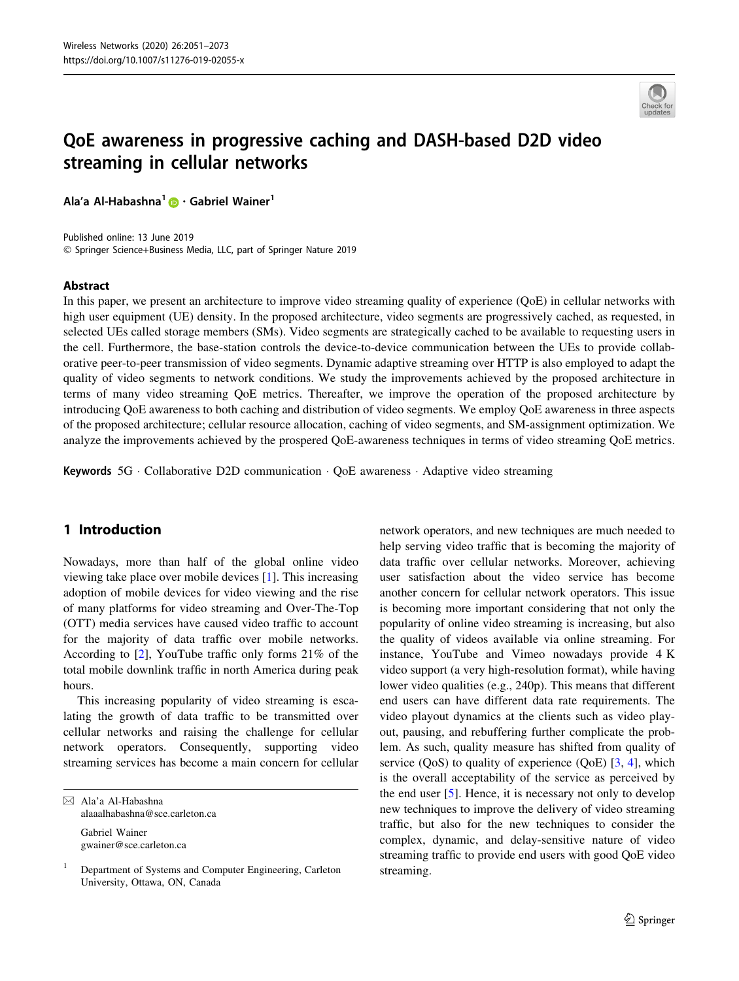

# QoE awareness in progressive caching and DASH-based D2D video streaming in cellular networks

Ala'a Al-Habashna<sup>[1](http://orcid.org/0000-0003-2721-970X)</sup> • Gabriel Wainer<sup>1</sup>

Published online: 13 June 2019 - Springer Science+Business Media, LLC, part of Springer Nature 2019

## Abstract

In this paper, we present an architecture to improve video streaming quality of experience (QoE) in cellular networks with high user equipment (UE) density. In the proposed architecture, video segments are progressively cached, as requested, in selected UEs called storage members (SMs). Video segments are strategically cached to be available to requesting users in the cell. Furthermore, the base-station controls the device-to-device communication between the UEs to provide collaborative peer-to-peer transmission of video segments. Dynamic adaptive streaming over HTTP is also employed to adapt the quality of video segments to network conditions. We study the improvements achieved by the proposed architecture in terms of many video streaming QoE metrics. Thereafter, we improve the operation of the proposed architecture by introducing QoE awareness to both caching and distribution of video segments. We employ QoE awareness in three aspects of the proposed architecture; cellular resource allocation, caching of video segments, and SM-assignment optimization. We analyze the improvements achieved by the prospered QoE-awareness techniques in terms of video streaming QoE metrics.

Keywords 5G · Collaborative D2D communication · QoE awareness · Adaptive video streaming

# 1 Introduction

Nowadays, more than half of the global online video viewing take place over mobile devices [[1\]](#page-20-0). This increasing adoption of mobile devices for video viewing and the rise of many platforms for video streaming and Over-The-Top (OTT) media services have caused video traffic to account for the majority of data traffic over mobile networks. According to [[2\]](#page-20-0), YouTube traffic only forms 21% of the total mobile downlink traffic in north America during peak hours.

This increasing popularity of video streaming is escalating the growth of data traffic to be transmitted over cellular networks and raising the challenge for cellular network operators. Consequently, supporting video streaming services has become a main concern for cellular

 $\boxtimes$  Ala'a Al-Habashna alaaalhabashna@sce.carleton.ca

> Gabriel Wainer gwainer@sce.carleton.ca

network operators, and new techniques are much needed to help serving video traffic that is becoming the majority of data traffic over cellular networks. Moreover, achieving user satisfaction about the video service has become another concern for cellular network operators. This issue is becoming more important considering that not only the popularity of online video streaming is increasing, but also the quality of videos available via online streaming. For instance, YouTube and Vimeo nowadays provide 4 K video support (a very high-resolution format), while having lower video qualities (e.g., 240p). This means that different end users can have different data rate requirements. The video playout dynamics at the clients such as video playout, pausing, and rebuffering further complicate the problem. As such, quality measure has shifted from quality of service  $(QoS)$  to quality of experience  $(QoE)$   $[3, 4]$  $[3, 4]$  $[3, 4]$  $[3, 4]$  $[3, 4]$ , which is the overall acceptability of the service as perceived by the end user [\[5](#page-20-0)]. Hence, it is necessary not only to develop new techniques to improve the delivery of video streaming traffic, but also for the new techniques to consider the complex, dynamic, and delay-sensitive nature of video streaming traffic to provide end users with good QoE video streaming.

<sup>1</sup> Department of Systems and Computer Engineering, Carleton University, Ottawa, ON, Canada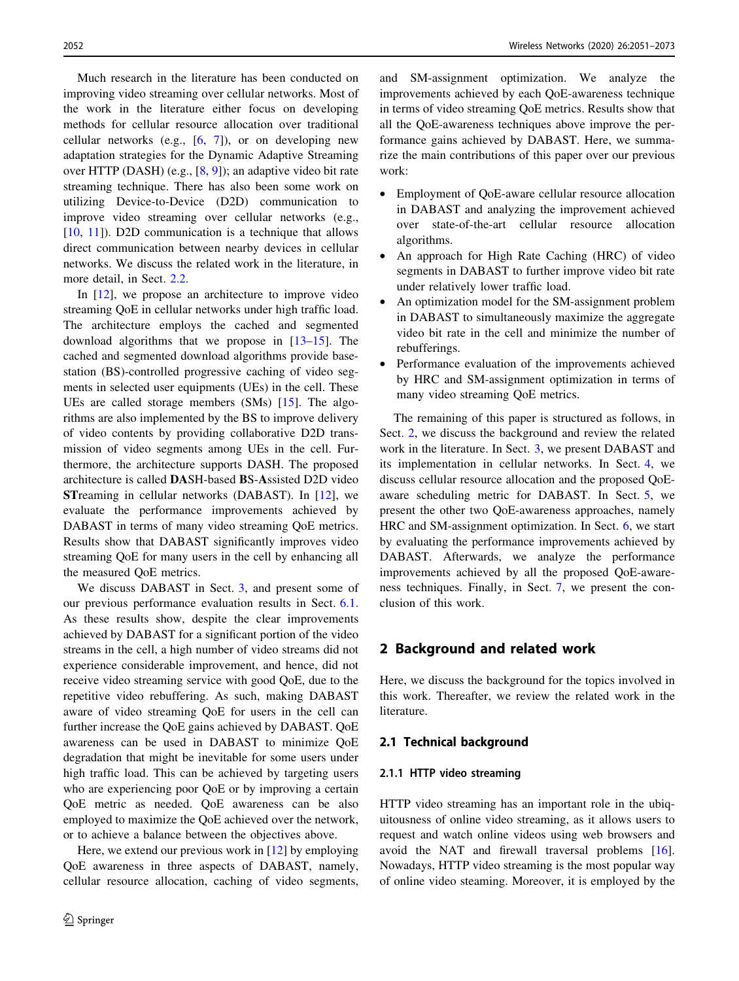<span id="page-1-0"></span>Much research in the literature has been conducted on improving video streaming over cellular networks. Most of the work in the literature either focus on developing methods for cellular resource allocation over traditional cellular networks (e.g.,  $[6, 7]$  $[6, 7]$  $[6, 7]$  $[6, 7]$  $[6, 7]$ ), or on developing new adaptation strategies for the Dynamic Adaptive Streaming over HTTP (DASH) (e.g., [[8,](#page-20-0) [9\]](#page-20-0)); an adaptive video bit rate streaming technique. There has also been some work on utilizing Device-to-Device (D2D) communication to improve video streaming over cellular networks (e.g., [\[10](#page-20-0), [11\]](#page-20-0)). D2D communication is a technique that allows direct communication between nearby devices in cellular networks. We discuss the related work in the literature, in more detail, in Sect. [2.2.](#page-3-0)

In [\[12](#page-20-0)], we propose an architecture to improve video streaming QoE in cellular networks under high traffic load. The architecture employs the cached and segmented download algorithms that we propose in [\[13](#page-20-0)–[15\]](#page-20-0). The cached and segmented download algorithms provide basestation (BS)-controlled progressive caching of video segments in selected user equipments (UEs) in the cell. These UEs are called storage members (SMs) [\[15](#page-20-0)]. The algorithms are also implemented by the BS to improve delivery of video contents by providing collaborative D2D transmission of video segments among UEs in the cell. Furthermore, the architecture supports DASH. The proposed architecture is called DASH-based BS-Assisted D2D video STreaming in cellular networks (DABAST). In [\[12](#page-20-0)], we evaluate the performance improvements achieved by DABAST in terms of many video streaming QoE metrics. Results show that DABAST significantly improves video streaming QoE for many users in the cell by enhancing all the measured QoE metrics.

We discuss DABAST in Sect. [3](#page-5-0), and present some of our previous performance evaluation results in Sect. [6.1.](#page-12-0) As these results show, despite the clear improvements achieved by DABAST for a significant portion of the video streams in the cell, a high number of video streams did not experience considerable improvement, and hence, did not receive video streaming service with good QoE, due to the repetitive video rebuffering. As such, making DABAST aware of video streaming QoE for users in the cell can further increase the QoE gains achieved by DABAST. QoE awareness can be used in DABAST to minimize QoE degradation that might be inevitable for some users under high traffic load. This can be achieved by targeting users who are experiencing poor QoE or by improving a certain QoE metric as needed. QoE awareness can be also employed to maximize the QoE achieved over the network, or to achieve a balance between the objectives above.

Here, we extend our previous work in [\[12](#page-20-0)] by employing QoE awareness in three aspects of DABAST, namely, cellular resource allocation, caching of video segments,

and SM-assignment optimization. We analyze the improvements achieved by each QoE-awareness technique in terms of video streaming QoE metrics. Results show that all the QoE-awareness techniques above improve the performance gains achieved by DABAST. Here, we summarize the main contributions of this paper over our previous work:

- Employment of QoE-aware cellular resource allocation in DABAST and analyzing the improvement achieved over state-of-the-art cellular resource allocation algorithms.
- An approach for High Rate Caching (HRC) of video segments in DABAST to further improve video bit rate under relatively lower traffic load.
- An optimization model for the SM-assignment problem in DABAST to simultaneously maximize the aggregate video bit rate in the cell and minimize the number of rebufferings.
- Performance evaluation of the improvements achieved by HRC and SM-assignment optimization in terms of many video streaming QoE metrics.

The remaining of this paper is structured as follows, in Sect. 2, we discuss the background and review the related work in the literature. In Sect. [3,](#page-5-0) we present DABAST and its implementation in cellular networks. In Sect. [4,](#page-6-0) we discuss cellular resource allocation and the proposed QoEaware scheduling metric for DABAST. In Sect. [5](#page-9-0), we present the other two QoE-awareness approaches, namely HRC and SM-assignment optimization. In Sect. [6](#page-12-0), we start by evaluating the performance improvements achieved by DABAST. Afterwards, we analyze the performance improvements achieved by all the proposed QoE-awareness techniques. Finally, in Sect. [7](#page-19-0), we present the conclusion of this work.

# 2 Background and related work

Here, we discuss the background for the topics involved in this work. Thereafter, we review the related work in the literature.

# 2.1 Technical background

#### 2.1.1 HTTP video streaming

HTTP video streaming has an important role in the ubiquitousness of online video streaming, as it allows users to request and watch online videos using web browsers and avoid the NAT and firewall traversal problems [\[16](#page-20-0)]. Nowadays, HTTP video streaming is the most popular way of online video steaming. Moreover, it is employed by the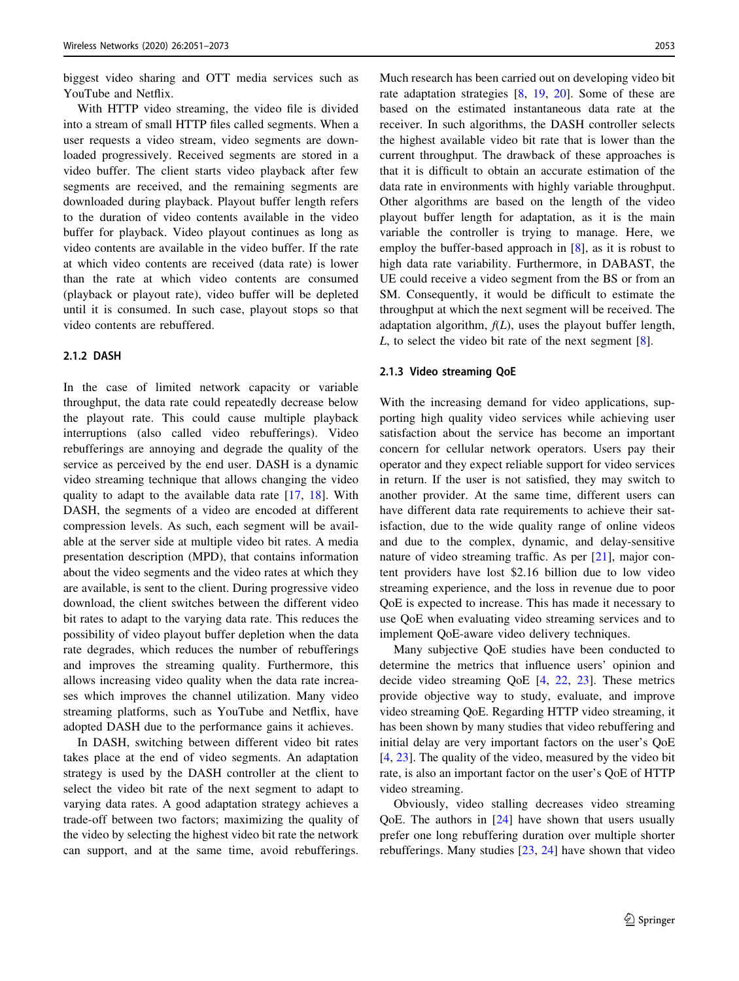biggest video sharing and OTT media services such as YouTube and Netflix.

With HTTP video streaming, the video file is divided into a stream of small HTTP files called segments. When a user requests a video stream, video segments are downloaded progressively. Received segments are stored in a video buffer. The client starts video playback after few segments are received, and the remaining segments are downloaded during playback. Playout buffer length refers to the duration of video contents available in the video buffer for playback. Video playout continues as long as video contents are available in the video buffer. If the rate at which video contents are received (data rate) is lower than the rate at which video contents are consumed (playback or playout rate), video buffer will be depleted until it is consumed. In such case, playout stops so that video contents are rebuffered.

# 2.1.2 DASH

In the case of limited network capacity or variable throughput, the data rate could repeatedly decrease below the playout rate. This could cause multiple playback interruptions (also called video rebufferings). Video rebufferings are annoying and degrade the quality of the service as perceived by the end user. DASH is a dynamic video streaming technique that allows changing the video quality to adapt to the available data rate [[17,](#page-20-0) [18](#page-20-0)]. With DASH, the segments of a video are encoded at different compression levels. As such, each segment will be available at the server side at multiple video bit rates. A media presentation description (MPD), that contains information about the video segments and the video rates at which they are available, is sent to the client. During progressive video download, the client switches between the different video bit rates to adapt to the varying data rate. This reduces the possibility of video playout buffer depletion when the data rate degrades, which reduces the number of rebufferings and improves the streaming quality. Furthermore, this allows increasing video quality when the data rate increases which improves the channel utilization. Many video streaming platforms, such as YouTube and Netflix, have adopted DASH due to the performance gains it achieves.

In DASH, switching between different video bit rates takes place at the end of video segments. An adaptation strategy is used by the DASH controller at the client to select the video bit rate of the next segment to adapt to varying data rates. A good adaptation strategy achieves a trade-off between two factors; maximizing the quality of the video by selecting the highest video bit rate the network can support, and at the same time, avoid rebufferings. Much research has been carried out on developing video bit rate adaptation strategies [[8,](#page-20-0) [19,](#page-20-0) [20\]](#page-20-0). Some of these are based on the estimated instantaneous data rate at the receiver. In such algorithms, the DASH controller selects the highest available video bit rate that is lower than the current throughput. The drawback of these approaches is that it is difficult to obtain an accurate estimation of the data rate in environments with highly variable throughput. Other algorithms are based on the length of the video playout buffer length for adaptation, as it is the main variable the controller is trying to manage. Here, we employ the buffer-based approach in [\[8](#page-20-0)], as it is robust to high data rate variability. Furthermore, in DABAST, the UE could receive a video segment from the BS or from an SM. Consequently, it would be difficult to estimate the throughput at which the next segment will be received. The adaptation algorithm,  $f(L)$ , uses the playout buffer length,  $L$ , to select the video bit rate of the next segment  $[8]$  $[8]$ .

#### 2.1.3 Video streaming QoE

With the increasing demand for video applications, supporting high quality video services while achieving user satisfaction about the service has become an important concern for cellular network operators. Users pay their operator and they expect reliable support for video services in return. If the user is not satisfied, they may switch to another provider. At the same time, different users can have different data rate requirements to achieve their satisfaction, due to the wide quality range of online videos and due to the complex, dynamic, and delay-sensitive nature of video streaming traffic. As per [\[21](#page-20-0)], major content providers have lost \$2.16 billion due to low video streaming experience, and the loss in revenue due to poor QoE is expected to increase. This has made it necessary to use QoE when evaluating video streaming services and to implement QoE-aware video delivery techniques.

Many subjective QoE studies have been conducted to determine the metrics that influence users' opinion and decide video streaming QoE [\[4](#page-20-0), [22,](#page-20-0) [23](#page-20-0)]. These metrics provide objective way to study, evaluate, and improve video streaming QoE. Regarding HTTP video streaming, it has been shown by many studies that video rebuffering and initial delay are very important factors on the user's QoE [\[4](#page-20-0), [23\]](#page-20-0). The quality of the video, measured by the video bit rate, is also an important factor on the user's QoE of HTTP video streaming.

Obviously, video stalling decreases video streaming QoE. The authors in [\[24](#page-20-0)] have shown that users usually prefer one long rebuffering duration over multiple shorter rebufferings. Many studies [[23,](#page-20-0) [24\]](#page-20-0) have shown that video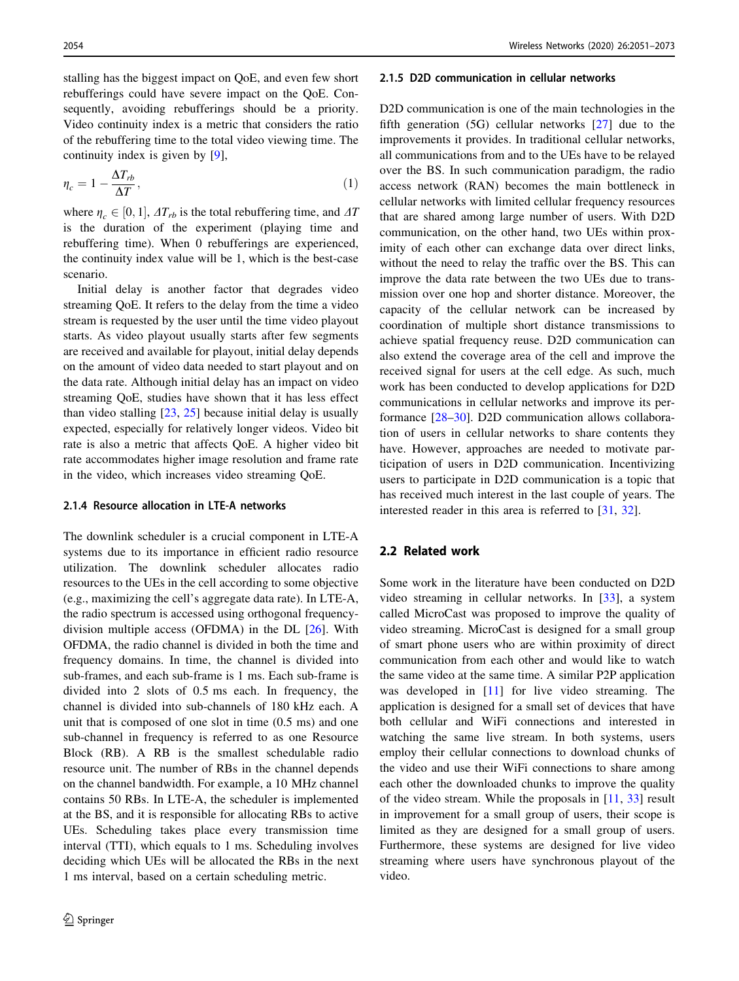<span id="page-3-0"></span>stalling has the biggest impact on QoE, and even few short rebufferings could have severe impact on the QoE. Consequently, avoiding rebufferings should be a priority. Video continuity index is a metric that considers the ratio of the rebuffering time to the total video viewing time. The continuity index is given by [[9\]](#page-20-0),

$$
\eta_c = 1 - \frac{\Delta T_{rb}}{\Delta T},\tag{1}
$$

where  $\eta_c \in [0, 1]$ ,  $\Delta T_{rb}$  is the total rebuffering time, and  $\Delta T$ is the duration of the experiment (playing time and rebuffering time). When 0 rebufferings are experienced, the continuity index value will be 1, which is the best-case scenario.

Initial delay is another factor that degrades video streaming QoE. It refers to the delay from the time a video stream is requested by the user until the time video playout starts. As video playout usually starts after few segments are received and available for playout, initial delay depends on the amount of video data needed to start playout and on the data rate. Although initial delay has an impact on video streaming QoE, studies have shown that it has less effect than video stalling  $[23, 25]$  $[23, 25]$  $[23, 25]$  $[23, 25]$  $[23, 25]$  because initial delay is usually expected, especially for relatively longer videos. Video bit rate is also a metric that affects QoE. A higher video bit rate accommodates higher image resolution and frame rate in the video, which increases video streaming QoE.

### 2.1.4 Resource allocation in LTE-A networks

The downlink scheduler is a crucial component in LTE-A systems due to its importance in efficient radio resource utilization. The downlink scheduler allocates radio resources to the UEs in the cell according to some objective (e.g., maximizing the cell's aggregate data rate). In LTE-A, the radio spectrum is accessed using orthogonal frequencydivision multiple access (OFDMA) in the DL [\[26](#page-20-0)]. With OFDMA, the radio channel is divided in both the time and frequency domains. In time, the channel is divided into sub-frames, and each sub-frame is 1 ms. Each sub-frame is divided into 2 slots of 0.5 ms each. In frequency, the channel is divided into sub-channels of 180 kHz each. A unit that is composed of one slot in time (0.5 ms) and one sub-channel in frequency is referred to as one Resource Block (RB). A RB is the smallest schedulable radio resource unit. The number of RBs in the channel depends on the channel bandwidth. For example, a 10 MHz channel contains 50 RBs. In LTE-A, the scheduler is implemented at the BS, and it is responsible for allocating RBs to active UEs. Scheduling takes place every transmission time interval (TTI), which equals to 1 ms. Scheduling involves deciding which UEs will be allocated the RBs in the next 1 ms interval, based on a certain scheduling metric.

#### 2.1.5 D2D communication in cellular networks

D2D communication is one of the main technologies in the fifth generation (5G) cellular networks [[27\]](#page-20-0) due to the improvements it provides. In traditional cellular networks, all communications from and to the UEs have to be relayed over the BS. In such communication paradigm, the radio access network (RAN) becomes the main bottleneck in cellular networks with limited cellular frequency resources that are shared among large number of users. With D2D communication, on the other hand, two UEs within proximity of each other can exchange data over direct links, without the need to relay the traffic over the BS. This can improve the data rate between the two UEs due to transmission over one hop and shorter distance. Moreover, the capacity of the cellular network can be increased by coordination of multiple short distance transmissions to achieve spatial frequency reuse. D2D communication can also extend the coverage area of the cell and improve the received signal for users at the cell edge. As such, much work has been conducted to develop applications for D2D communications in cellular networks and improve its performance [[28–30\]](#page-20-0). D2D communication allows collaboration of users in cellular networks to share contents they have. However, approaches are needed to motivate participation of users in D2D communication. Incentivizing users to participate in D2D communication is a topic that has received much interest in the last couple of years. The interested reader in this area is referred to [\[31](#page-20-0), [32](#page-20-0)].

### 2.2 Related work

Some work in the literature have been conducted on D2D video streaming in cellular networks. In [\[33](#page-20-0)], a system called MicroCast was proposed to improve the quality of video streaming. MicroCast is designed for a small group of smart phone users who are within proximity of direct communication from each other and would like to watch the same video at the same time. A similar P2P application was developed in [[11\]](#page-20-0) for live video streaming. The application is designed for a small set of devices that have both cellular and WiFi connections and interested in watching the same live stream. In both systems, users employ their cellular connections to download chunks of the video and use their WiFi connections to share among each other the downloaded chunks to improve the quality of the video stream. While the proposals in [[11,](#page-20-0) [33\]](#page-20-0) result in improvement for a small group of users, their scope is limited as they are designed for a small group of users. Furthermore, these systems are designed for live video streaming where users have synchronous playout of the video.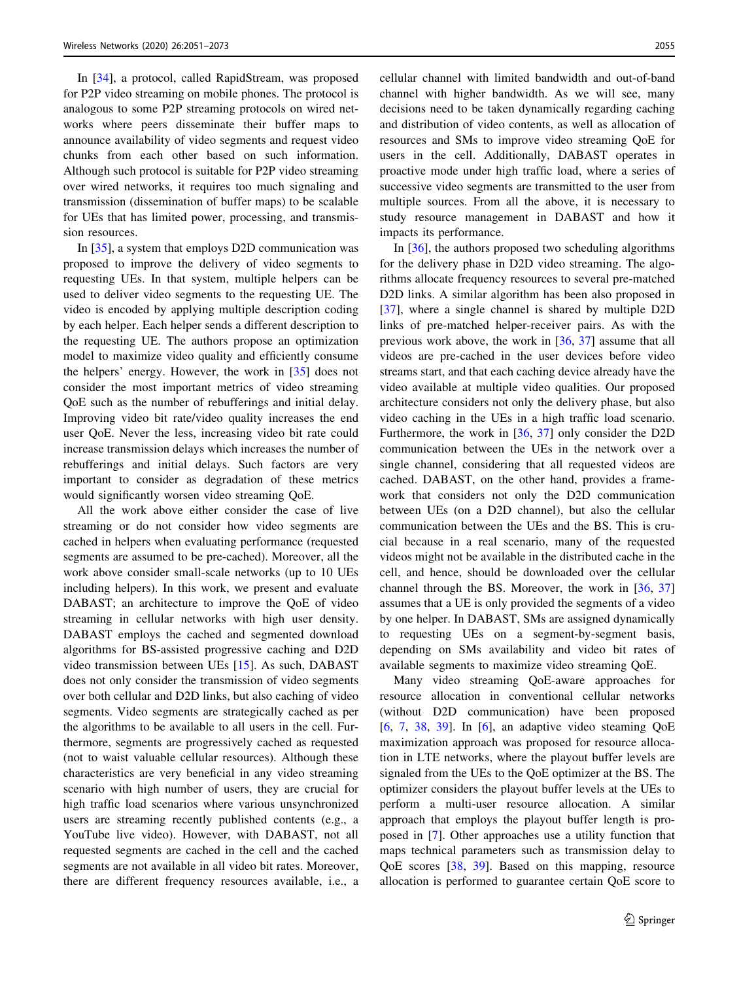In [[34\]](#page-20-0), a protocol, called RapidStream, was proposed for P2P video streaming on mobile phones. The protocol is analogous to some P2P streaming protocols on wired networks where peers disseminate their buffer maps to announce availability of video segments and request video chunks from each other based on such information. Although such protocol is suitable for P2P video streaming over wired networks, it requires too much signaling and transmission (dissemination of buffer maps) to be scalable for UEs that has limited power, processing, and transmission resources.

In [[35\]](#page-20-0), a system that employs D2D communication was proposed to improve the delivery of video segments to requesting UEs. In that system, multiple helpers can be used to deliver video segments to the requesting UE. The video is encoded by applying multiple description coding by each helper. Each helper sends a different description to the requesting UE. The authors propose an optimization model to maximize video quality and efficiently consume the helpers' energy. However, the work in [[35\]](#page-20-0) does not consider the most important metrics of video streaming QoE such as the number of rebufferings and initial delay. Improving video bit rate/video quality increases the end user QoE. Never the less, increasing video bit rate could increase transmission delays which increases the number of rebufferings and initial delays. Such factors are very important to consider as degradation of these metrics would significantly worsen video streaming QoE.

All the work above either consider the case of live streaming or do not consider how video segments are cached in helpers when evaluating performance (requested segments are assumed to be pre-cached). Moreover, all the work above consider small-scale networks (up to 10 UEs including helpers). In this work, we present and evaluate DABAST; an architecture to improve the QoE of video streaming in cellular networks with high user density. DABAST employs the cached and segmented download algorithms for BS-assisted progressive caching and D2D video transmission between UEs [\[15](#page-20-0)]. As such, DABAST does not only consider the transmission of video segments over both cellular and D2D links, but also caching of video segments. Video segments are strategically cached as per the algorithms to be available to all users in the cell. Furthermore, segments are progressively cached as requested (not to waist valuable cellular resources). Although these characteristics are very beneficial in any video streaming scenario with high number of users, they are crucial for high traffic load scenarios where various unsynchronized users are streaming recently published contents (e.g., a YouTube live video). However, with DABAST, not all requested segments are cached in the cell and the cached segments are not available in all video bit rates. Moreover, there are different frequency resources available, i.e., a cellular channel with limited bandwidth and out-of-band channel with higher bandwidth. As we will see, many decisions need to be taken dynamically regarding caching and distribution of video contents, as well as allocation of resources and SMs to improve video streaming QoE for users in the cell. Additionally, DABAST operates in proactive mode under high traffic load, where a series of successive video segments are transmitted to the user from multiple sources. From all the above, it is necessary to study resource management in DABAST and how it impacts its performance.

In [[36\]](#page-21-0), the authors proposed two scheduling algorithms for the delivery phase in D2D video streaming. The algorithms allocate frequency resources to several pre-matched D2D links. A similar algorithm has been also proposed in [\[37](#page-21-0)], where a single channel is shared by multiple D2D links of pre-matched helper-receiver pairs. As with the previous work above, the work in [[36,](#page-21-0) [37\]](#page-21-0) assume that all videos are pre-cached in the user devices before video streams start, and that each caching device already have the video available at multiple video qualities. Our proposed architecture considers not only the delivery phase, but also video caching in the UEs in a high traffic load scenario. Furthermore, the work in [\[36](#page-21-0), [37](#page-21-0)] only consider the D2D communication between the UEs in the network over a single channel, considering that all requested videos are cached. DABAST, on the other hand, provides a framework that considers not only the D2D communication between UEs (on a D2D channel), but also the cellular communication between the UEs and the BS. This is crucial because in a real scenario, many of the requested videos might not be available in the distributed cache in the cell, and hence, should be downloaded over the cellular channel through the BS. Moreover, the work in [\[36](#page-21-0), [37\]](#page-21-0) assumes that a UE is only provided the segments of a video by one helper. In DABAST, SMs are assigned dynamically to requesting UEs on a segment-by-segment basis, depending on SMs availability and video bit rates of available segments to maximize video streaming QoE.

Many video streaming QoE-aware approaches for resource allocation in conventional cellular networks (without D2D communication) have been proposed [\[6](#page-20-0), [7,](#page-20-0) [38](#page-21-0), [39\]](#page-21-0). In [[6\]](#page-20-0), an adaptive video steaming QoE maximization approach was proposed for resource allocation in LTE networks, where the playout buffer levels are signaled from the UEs to the QoE optimizer at the BS. The optimizer considers the playout buffer levels at the UEs to perform a multi-user resource allocation. A similar approach that employs the playout buffer length is proposed in [\[7](#page-20-0)]. Other approaches use a utility function that maps technical parameters such as transmission delay to QoE scores [\[38](#page-21-0), [39](#page-21-0)]. Based on this mapping, resource allocation is performed to guarantee certain QoE score to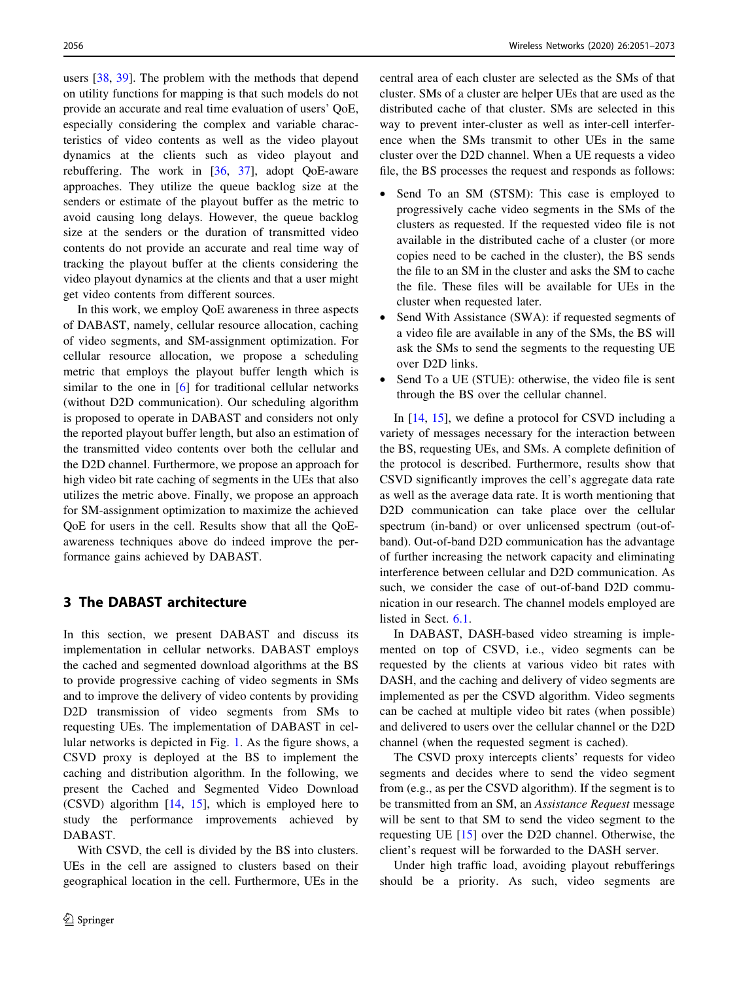<span id="page-5-0"></span>users [\[38](#page-21-0), [39\]](#page-21-0). The problem with the methods that depend on utility functions for mapping is that such models do not provide an accurate and real time evaluation of users' QoE, especially considering the complex and variable characteristics of video contents as well as the video playout dynamics at the clients such as video playout and rebuffering. The work in [[36,](#page-21-0) [37\]](#page-21-0), adopt QoE-aware approaches. They utilize the queue backlog size at the senders or estimate of the playout buffer as the metric to avoid causing long delays. However, the queue backlog size at the senders or the duration of transmitted video contents do not provide an accurate and real time way of tracking the playout buffer at the clients considering the video playout dynamics at the clients and that a user might get video contents from different sources.

In this work, we employ QoE awareness in three aspects of DABAST, namely, cellular resource allocation, caching of video segments, and SM-assignment optimization. For cellular resource allocation, we propose a scheduling metric that employs the playout buffer length which is similar to the one in [[6\]](#page-20-0) for traditional cellular networks (without D2D communication). Our scheduling algorithm is proposed to operate in DABAST and considers not only the reported playout buffer length, but also an estimation of the transmitted video contents over both the cellular and the D2D channel. Furthermore, we propose an approach for high video bit rate caching of segments in the UEs that also utilizes the metric above. Finally, we propose an approach for SM-assignment optimization to maximize the achieved QoE for users in the cell. Results show that all the QoEawareness techniques above do indeed improve the performance gains achieved by DABAST.

# 3 The DABAST architecture

In this section, we present DABAST and discuss its implementation in cellular networks. DABAST employs the cached and segmented download algorithms at the BS to provide progressive caching of video segments in SMs and to improve the delivery of video contents by providing D2D transmission of video segments from SMs to requesting UEs. The implementation of DABAST in cellular networks is depicted in Fig. [1](#page-6-0). As the figure shows, a CSVD proxy is deployed at the BS to implement the caching and distribution algorithm. In the following, we present the Cached and Segmented Video Download (CSVD) algorithm [\[14](#page-20-0), [15\]](#page-20-0), which is employed here to study the performance improvements achieved by DABAST.

With CSVD, the cell is divided by the BS into clusters. UEs in the cell are assigned to clusters based on their geographical location in the cell. Furthermore, UEs in the central area of each cluster are selected as the SMs of that cluster. SMs of a cluster are helper UEs that are used as the distributed cache of that cluster. SMs are selected in this way to prevent inter-cluster as well as inter-cell interference when the SMs transmit to other UEs in the same cluster over the D2D channel. When a UE requests a video file, the BS processes the request and responds as follows:

- Send To an SM (STSM): This case is employed to progressively cache video segments in the SMs of the clusters as requested. If the requested video file is not available in the distributed cache of a cluster (or more copies need to be cached in the cluster), the BS sends the file to an SM in the cluster and asks the SM to cache the file. These files will be available for UEs in the cluster when requested later.
- Send With Assistance (SWA): if requested segments of a video file are available in any of the SMs, the BS will ask the SMs to send the segments to the requesting UE over D2D links.
- Send To a UE (STUE): otherwise, the video file is sent through the BS over the cellular channel.

In [\[14](#page-20-0), [15](#page-20-0)], we define a protocol for CSVD including a variety of messages necessary for the interaction between the BS, requesting UEs, and SMs. A complete definition of the protocol is described. Furthermore, results show that CSVD significantly improves the cell's aggregate data rate as well as the average data rate. It is worth mentioning that D2D communication can take place over the cellular spectrum (in-band) or over unlicensed spectrum (out-ofband). Out-of-band D2D communication has the advantage of further increasing the network capacity and eliminating interference between cellular and D2D communication. As such, we consider the case of out-of-band D2D communication in our research. The channel models employed are listed in Sect. [6.1.](#page-12-0)

In DABAST, DASH-based video streaming is implemented on top of CSVD, i.e., video segments can be requested by the clients at various video bit rates with DASH, and the caching and delivery of video segments are implemented as per the CSVD algorithm. Video segments can be cached at multiple video bit rates (when possible) and delivered to users over the cellular channel or the D2D channel (when the requested segment is cached).

The CSVD proxy intercepts clients' requests for video segments and decides where to send the video segment from (e.g., as per the CSVD algorithm). If the segment is to be transmitted from an SM, an Assistance Request message will be sent to that SM to send the video segment to the requesting UE [\[15](#page-20-0)] over the D2D channel. Otherwise, the client's request will be forwarded to the DASH server.

Under high traffic load, avoiding playout rebufferings should be a priority. As such, video segments are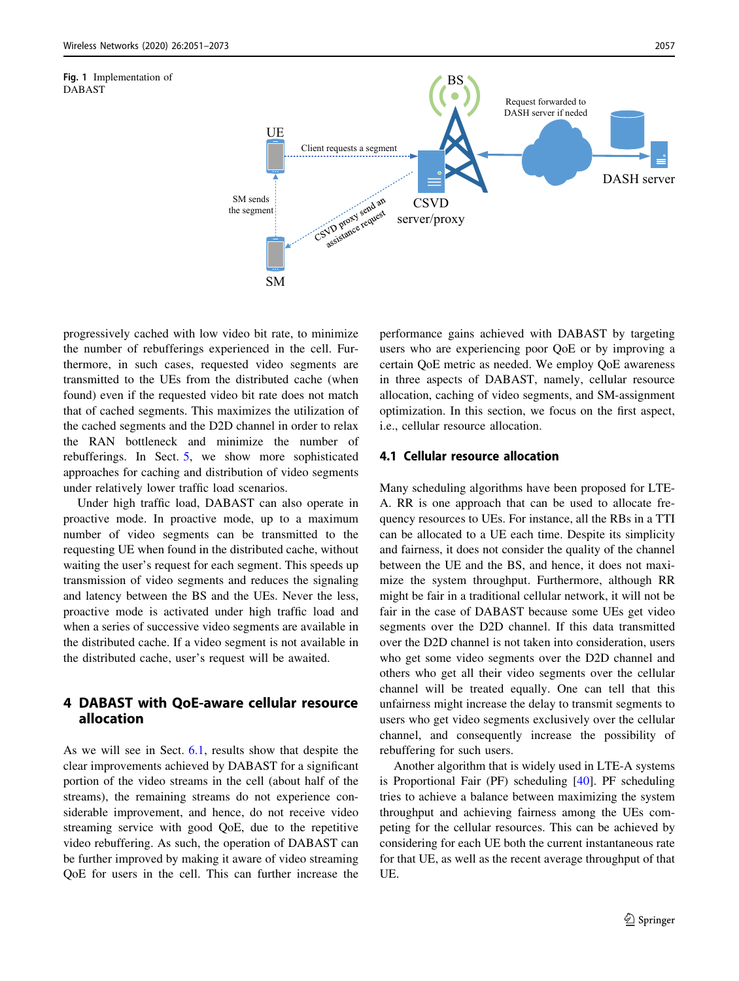<span id="page-6-0"></span>



progressively cached with low video bit rate, to minimize the number of rebufferings experienced in the cell. Furthermore, in such cases, requested video segments are transmitted to the UEs from the distributed cache (when found) even if the requested video bit rate does not match that of cached segments. This maximizes the utilization of the cached segments and the D2D channel in order to relax the RAN bottleneck and minimize the number of rebufferings. In Sect. [5,](#page-9-0) we show more sophisticated approaches for caching and distribution of video segments under relatively lower traffic load scenarios.

Under high traffic load, DABAST can also operate in proactive mode. In proactive mode, up to a maximum number of video segments can be transmitted to the requesting UE when found in the distributed cache, without waiting the user's request for each segment. This speeds up transmission of video segments and reduces the signaling and latency between the BS and the UEs. Never the less, proactive mode is activated under high traffic load and when a series of successive video segments are available in the distributed cache. If a video segment is not available in the distributed cache, user's request will be awaited.

# 4 DABAST with QoE-aware cellular resource allocation

As we will see in Sect. [6.1,](#page-12-0) results show that despite the clear improvements achieved by DABAST for a significant portion of the video streams in the cell (about half of the streams), the remaining streams do not experience considerable improvement, and hence, do not receive video streaming service with good QoE, due to the repetitive video rebuffering. As such, the operation of DABAST can be further improved by making it aware of video streaming QoE for users in the cell. This can further increase the performance gains achieved with DABAST by targeting users who are experiencing poor QoE or by improving a certain QoE metric as needed. We employ QoE awareness in three aspects of DABAST, namely, cellular resource allocation, caching of video segments, and SM-assignment optimization. In this section, we focus on the first aspect, i.e., cellular resource allocation.

## 4.1 Cellular resource allocation

Many scheduling algorithms have been proposed for LTE-A. RR is one approach that can be used to allocate frequency resources to UEs. For instance, all the RBs in a TTI can be allocated to a UE each time. Despite its simplicity and fairness, it does not consider the quality of the channel between the UE and the BS, and hence, it does not maximize the system throughput. Furthermore, although RR might be fair in a traditional cellular network, it will not be fair in the case of DABAST because some UEs get video segments over the D2D channel. If this data transmitted over the D2D channel is not taken into consideration, users who get some video segments over the D2D channel and others who get all their video segments over the cellular channel will be treated equally. One can tell that this unfairness might increase the delay to transmit segments to users who get video segments exclusively over the cellular channel, and consequently increase the possibility of rebuffering for such users.

Another algorithm that is widely used in LTE-A systems is Proportional Fair (PF) scheduling [\[40](#page-21-0)]. PF scheduling tries to achieve a balance between maximizing the system throughput and achieving fairness among the UEs competing for the cellular resources. This can be achieved by considering for each UE both the current instantaneous rate for that UE, as well as the recent average throughput of that UE.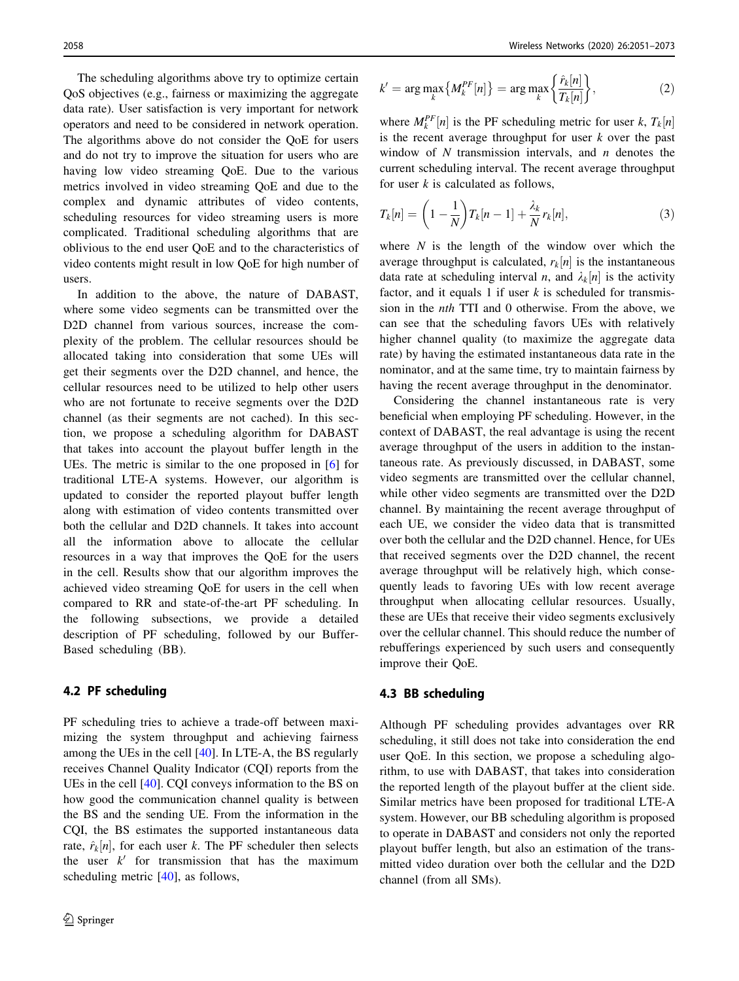The scheduling algorithms above try to optimize certain QoS objectives (e.g., fairness or maximizing the aggregate data rate). User satisfaction is very important for network operators and need to be considered in network operation. The algorithms above do not consider the QoE for users and do not try to improve the situation for users who are having low video streaming QoE. Due to the various metrics involved in video streaming QoE and due to the complex and dynamic attributes of video contents, scheduling resources for video streaming users is more complicated. Traditional scheduling algorithms that are oblivious to the end user QoE and to the characteristics of video contents might result in low QoE for high number of users.

In addition to the above, the nature of DABAST, where some video segments can be transmitted over the D2D channel from various sources, increase the complexity of the problem. The cellular resources should be allocated taking into consideration that some UEs will get their segments over the D2D channel, and hence, the cellular resources need to be utilized to help other users who are not fortunate to receive segments over the D2D channel (as their segments are not cached). In this section, we propose a scheduling algorithm for DABAST that takes into account the playout buffer length in the UEs. The metric is similar to the one proposed in [\[6](#page-20-0)] for traditional LTE-A systems. However, our algorithm is updated to consider the reported playout buffer length along with estimation of video contents transmitted over both the cellular and D2D channels. It takes into account all the information above to allocate the cellular resources in a way that improves the QoE for the users in the cell. Results show that our algorithm improves the achieved video streaming QoE for users in the cell when compared to RR and state-of-the-art PF scheduling. In the following subsections, we provide a detailed description of PF scheduling, followed by our Buffer-Based scheduling (BB).

#### 4.2 PF scheduling

PF scheduling tries to achieve a trade-off between maximizing the system throughput and achieving fairness among the UEs in the cell [[40\]](#page-21-0). In LTE-A, the BS regularly receives Channel Quality Indicator (CQI) reports from the UEs in the cell [\[40](#page-21-0)]. CQI conveys information to the BS on how good the communication channel quality is between the BS and the sending UE. From the information in the CQI, the BS estimates the supported instantaneous data rate,  $\hat{r}_k[n]$ , for each user k. The PF scheduler then selects the user  $k'$  for transmission that has the maximum scheduling metric [\[40](#page-21-0)], as follows,

$$
k' = \arg \max_{k} \{ M_k^{PF}[n] \} = \arg \max_{k} \left\{ \frac{\hat{r}_k[n]}{T_k[n]} \right\},
$$
 (2)

where  $M_k^{PF}[n]$  is the PF scheduling metric for user k,  $T_k[n]$ is the recent average throughput for user  $k$  over the past window of  $N$  transmission intervals, and  $n$  denotes the current scheduling interval. The recent average throughput for user  $k$  is calculated as follows,

$$
T_k[n] = \left(1 - \frac{1}{N}\right) T_k[n-1] + \frac{\lambda_k}{N} r_k[n],\tag{3}
$$

where  $N$  is the length of the window over which the average throughput is calculated,  $r_k[n]$  is the instantaneous data rate at scheduling interval *n*, and  $\lambda_k[n]$  is the activity factor, and it equals 1 if user  $k$  is scheduled for transmission in the nth TTI and 0 otherwise. From the above, we can see that the scheduling favors UEs with relatively higher channel quality (to maximize the aggregate data rate) by having the estimated instantaneous data rate in the nominator, and at the same time, try to maintain fairness by having the recent average throughput in the denominator.

Considering the channel instantaneous rate is very beneficial when employing PF scheduling. However, in the context of DABAST, the real advantage is using the recent average throughput of the users in addition to the instantaneous rate. As previously discussed, in DABAST, some video segments are transmitted over the cellular channel, while other video segments are transmitted over the D2D channel. By maintaining the recent average throughput of each UE, we consider the video data that is transmitted over both the cellular and the D2D channel. Hence, for UEs that received segments over the D2D channel, the recent average throughput will be relatively high, which consequently leads to favoring UEs with low recent average throughput when allocating cellular resources. Usually, these are UEs that receive their video segments exclusively over the cellular channel. This should reduce the number of rebufferings experienced by such users and consequently improve their QoE.

# 4.3 BB scheduling

Although PF scheduling provides advantages over RR scheduling, it still does not take into consideration the end user QoE. In this section, we propose a scheduling algorithm, to use with DABAST, that takes into consideration the reported length of the playout buffer at the client side. Similar metrics have been proposed for traditional LTE-A system. However, our BB scheduling algorithm is proposed to operate in DABAST and considers not only the reported playout buffer length, but also an estimation of the transmitted video duration over both the cellular and the D2D channel (from all SMs).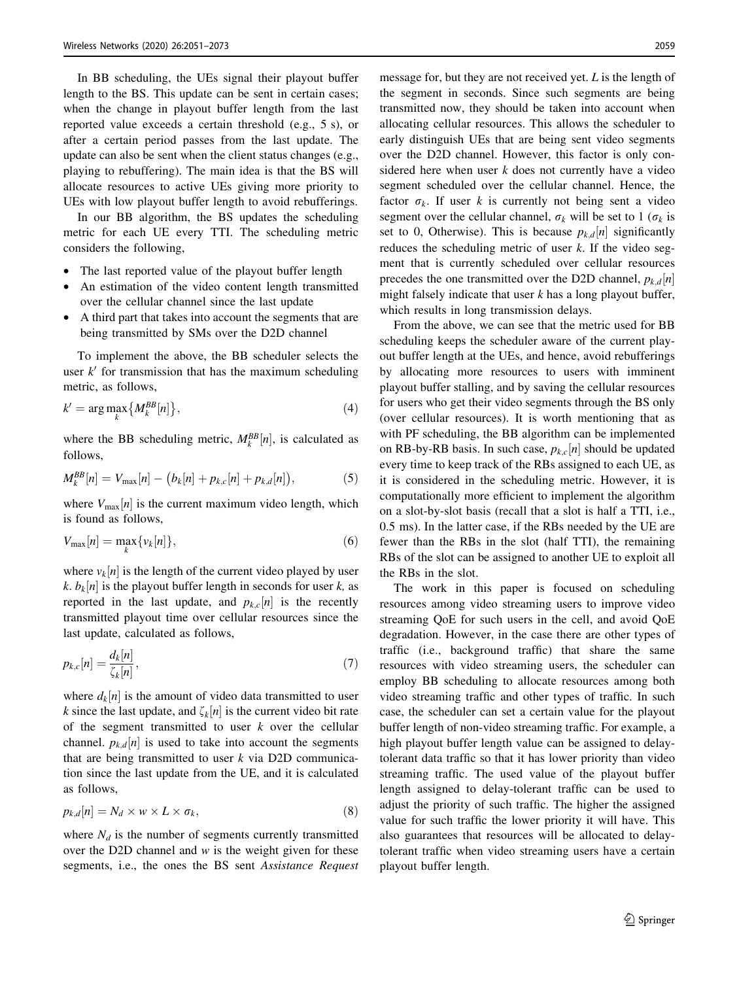In BB scheduling, the UEs signal their playout buffer length to the BS. This update can be sent in certain cases; when the change in playout buffer length from the last reported value exceeds a certain threshold (e.g., 5 s), or after a certain period passes from the last update. The update can also be sent when the client status changes (e.g., playing to rebuffering). The main idea is that the BS will allocate resources to active UEs giving more priority to UEs with low playout buffer length to avoid rebufferings.

In our BB algorithm, the BS updates the scheduling metric for each UE every TTI. The scheduling metric considers the following,

- The last reported value of the playout buffer length
- An estimation of the video content length transmitted over the cellular channel since the last update
- A third part that takes into account the segments that are being transmitted by SMs over the D2D channel

To implement the above, the BB scheduler selects the user  $k'$  for transmission that has the maximum scheduling metric, as follows,

$$
k' = \arg\max_{k} \{ M_k^{BB}[n] \},\tag{4}
$$

where the BB scheduling metric,  $M_k^{BB}[n]$ , is calculated as follows,

$$
M_k^{BB}[n] = V_{\max}[n] - (b_k[n] + p_{k,c}[n] + p_{k,d}[n]), \qquad (5)
$$

where  $V_{\text{max}}[n]$  is the current maximum video length, which is found as follows,

$$
V_{\max}[n] = \max_{k} \{ v_k[n] \},\tag{6}
$$

where  $v_k[n]$  is the length of the current video played by user k.  $b_k[n]$  is the playout buffer length in seconds for user k, as reported in the last update, and  $p_{k,c}[n]$  is the recently transmitted playout time over cellular resources since the last update, calculated as follows,

$$
p_{k,c}[n] = \frac{d_k[n]}{\zeta_k[n]},\tag{7}
$$

where  $d_k[n]$  is the amount of video data transmitted to user k since the last update, and  $\zeta_k[n]$  is the current video bit rate of the segment transmitted to user  $k$  over the cellular channel.  $p_{k,d}[n]$  is used to take into account the segments that are being transmitted to user  $k$  via D2D communication since the last update from the UE, and it is calculated as follows,

$$
p_{k,d}[n] = N_d \times w \times L \times \sigma_k,\tag{8}
$$

where  $N_d$  is the number of segments currently transmitted over the D2D channel and  $w$  is the weight given for these segments, i.e., the ones the BS sent Assistance Request message for, but they are not received yet. L is the length of the segment in seconds. Since such segments are being transmitted now, they should be taken into account when allocating cellular resources. This allows the scheduler to early distinguish UEs that are being sent video segments over the D2D channel. However, this factor is only considered here when user  $k$  does not currently have a video segment scheduled over the cellular channel. Hence, the factor  $\sigma_k$ . If user k is currently not being sent a video segment over the cellular channel,  $\sigma_k$  will be set to 1 ( $\sigma_k$  is set to 0, Otherwise). This is because  $p_{k,d}[n]$  significantly reduces the scheduling metric of user  $k$ . If the video segment that is currently scheduled over cellular resources precedes the one transmitted over the D2D channel,  $p_{k,d}[n]$ might falsely indicate that user  $k$  has a long playout buffer, which results in long transmission delays.

From the above, we can see that the metric used for BB scheduling keeps the scheduler aware of the current playout buffer length at the UEs, and hence, avoid rebufferings by allocating more resources to users with imminent playout buffer stalling, and by saving the cellular resources for users who get their video segments through the BS only (over cellular resources). It is worth mentioning that as with PF scheduling, the BB algorithm can be implemented on RB-by-RB basis. In such case,  $p_{k,c}[n]$  should be updated every time to keep track of the RBs assigned to each UE, as it is considered in the scheduling metric. However, it is computationally more efficient to implement the algorithm on a slot-by-slot basis (recall that a slot is half a TTI, i.e., 0.5 ms). In the latter case, if the RBs needed by the UE are fewer than the RBs in the slot (half TTI), the remaining RBs of the slot can be assigned to another UE to exploit all the RBs in the slot.

The work in this paper is focused on scheduling resources among video streaming users to improve video streaming QoE for such users in the cell, and avoid QoE degradation. However, in the case there are other types of traffic (i.e., background traffic) that share the same resources with video streaming users, the scheduler can employ BB scheduling to allocate resources among both video streaming traffic and other types of traffic. In such case, the scheduler can set a certain value for the playout buffer length of non-video streaming traffic. For example, a high playout buffer length value can be assigned to delaytolerant data traffic so that it has lower priority than video streaming traffic. The used value of the playout buffer length assigned to delay-tolerant traffic can be used to adjust the priority of such traffic. The higher the assigned value for such traffic the lower priority it will have. This also guarantees that resources will be allocated to delaytolerant traffic when video streaming users have a certain playout buffer length.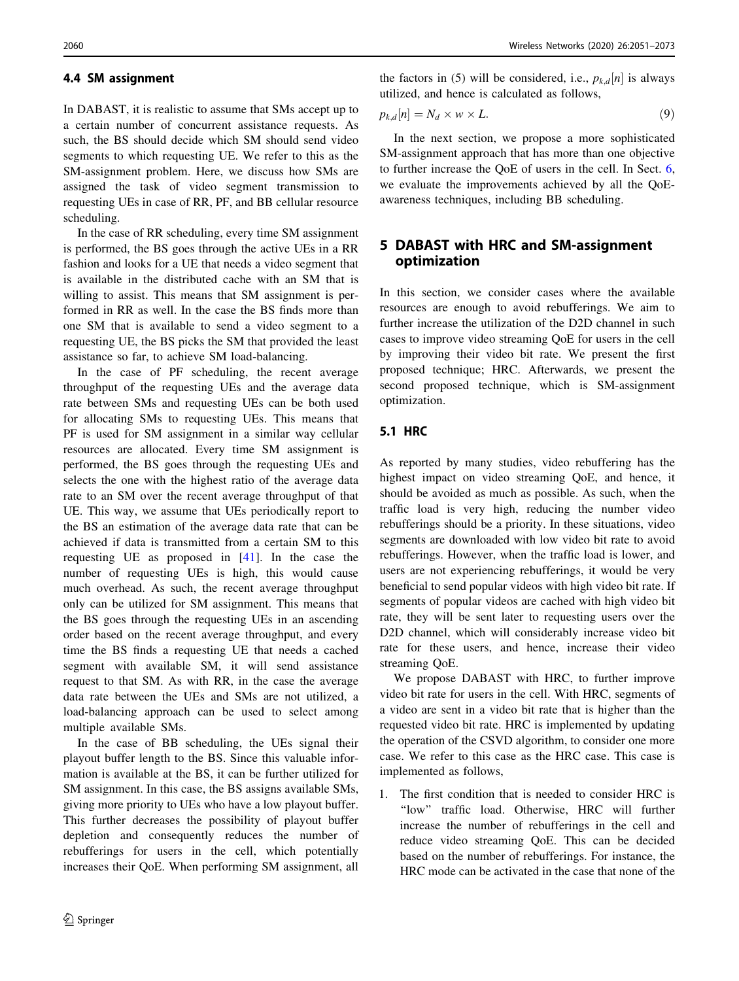## <span id="page-9-0"></span>4.4 SM assignment

In DABAST, it is realistic to assume that SMs accept up to a certain number of concurrent assistance requests. As such, the BS should decide which SM should send video segments to which requesting UE. We refer to this as the SM-assignment problem. Here, we discuss how SMs are assigned the task of video segment transmission to requesting UEs in case of RR, PF, and BB cellular resource scheduling.

In the case of RR scheduling, every time SM assignment is performed, the BS goes through the active UEs in a RR fashion and looks for a UE that needs a video segment that is available in the distributed cache with an SM that is willing to assist. This means that SM assignment is performed in RR as well. In the case the BS finds more than one SM that is available to send a video segment to a requesting UE, the BS picks the SM that provided the least assistance so far, to achieve SM load-balancing.

In the case of PF scheduling, the recent average throughput of the requesting UEs and the average data rate between SMs and requesting UEs can be both used for allocating SMs to requesting UEs. This means that PF is used for SM assignment in a similar way cellular resources are allocated. Every time SM assignment is performed, the BS goes through the requesting UEs and selects the one with the highest ratio of the average data rate to an SM over the recent average throughput of that UE. This way, we assume that UEs periodically report to the BS an estimation of the average data rate that can be achieved if data is transmitted from a certain SM to this requesting UE as proposed in [\[41](#page-21-0)]. In the case the number of requesting UEs is high, this would cause much overhead. As such, the recent average throughput only can be utilized for SM assignment. This means that the BS goes through the requesting UEs in an ascending order based on the recent average throughput, and every time the BS finds a requesting UE that needs a cached segment with available SM, it will send assistance request to that SM. As with RR, in the case the average data rate between the UEs and SMs are not utilized, a load-balancing approach can be used to select among multiple available SMs.

In the case of BB scheduling, the UEs signal their playout buffer length to the BS. Since this valuable information is available at the BS, it can be further utilized for SM assignment. In this case, the BS assigns available SMs, giving more priority to UEs who have a low playout buffer. This further decreases the possibility of playout buffer depletion and consequently reduces the number of rebufferings for users in the cell, which potentially increases their QoE. When performing SM assignment, all

the factors in (5) will be considered, i.e.,  $p_{k,d}[n]$  is always utilized, and hence is calculated as follows,

$$
p_{k,d}[n] = N_d \times w \times L. \tag{9}
$$

In the next section, we propose a more sophisticated SM-assignment approach that has more than one objective to further increase the QoE of users in the cell. In Sect. [6,](#page-12-0) we evaluate the improvements achieved by all the QoEawareness techniques, including BB scheduling.

# 5 DABAST with HRC and SM-assignment optimization

In this section, we consider cases where the available resources are enough to avoid rebufferings. We aim to further increase the utilization of the D2D channel in such cases to improve video streaming QoE for users in the cell by improving their video bit rate. We present the first proposed technique; HRC. Afterwards, we present the second proposed technique, which is SM-assignment optimization.

# 5.1 HRC

As reported by many studies, video rebuffering has the highest impact on video streaming QoE, and hence, it should be avoided as much as possible. As such, when the traffic load is very high, reducing the number video rebufferings should be a priority. In these situations, video segments are downloaded with low video bit rate to avoid rebufferings. However, when the traffic load is lower, and users are not experiencing rebufferings, it would be very beneficial to send popular videos with high video bit rate. If segments of popular videos are cached with high video bit rate, they will be sent later to requesting users over the D2D channel, which will considerably increase video bit rate for these users, and hence, increase their video streaming QoE.

We propose DABAST with HRC, to further improve video bit rate for users in the cell. With HRC, segments of a video are sent in a video bit rate that is higher than the requested video bit rate. HRC is implemented by updating the operation of the CSVD algorithm, to consider one more case. We refer to this case as the HRC case. This case is implemented as follows,

1. The first condition that is needed to consider HRC is ''low'' traffic load. Otherwise, HRC will further increase the number of rebufferings in the cell and reduce video streaming QoE. This can be decided based on the number of rebufferings. For instance, the HRC mode can be activated in the case that none of the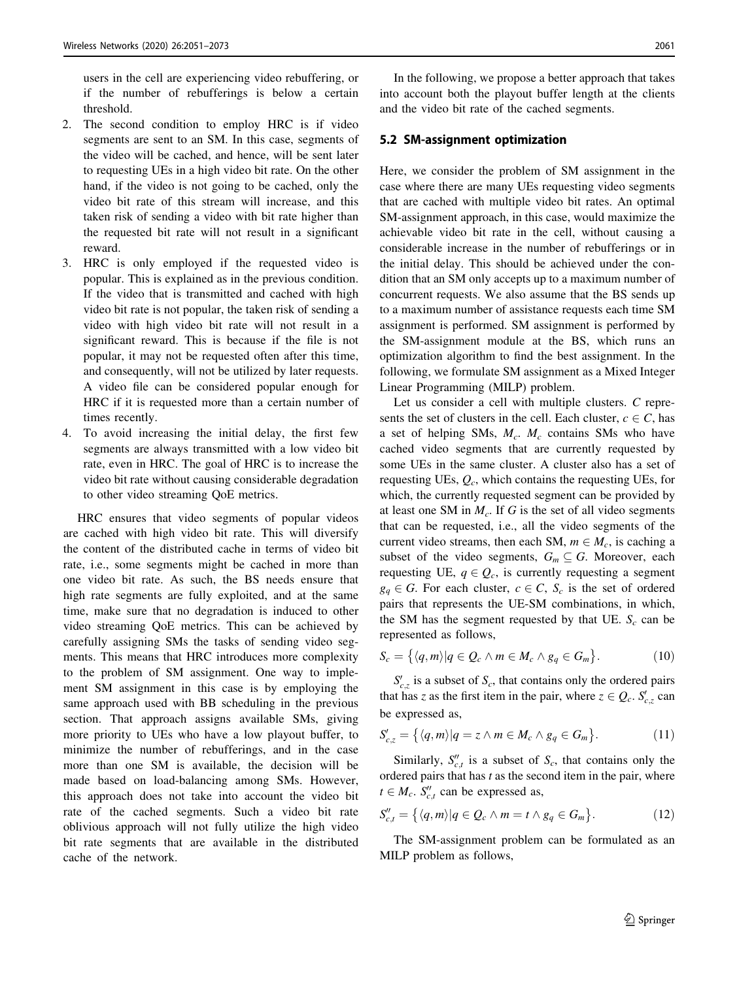<span id="page-10-0"></span>users in the cell are experiencing video rebuffering, or if the number of rebufferings is below a certain threshold.

- 2. The second condition to employ HRC is if video segments are sent to an SM. In this case, segments of the video will be cached, and hence, will be sent later to requesting UEs in a high video bit rate. On the other hand, if the video is not going to be cached, only the video bit rate of this stream will increase, and this taken risk of sending a video with bit rate higher than the requested bit rate will not result in a significant reward.
- 3. HRC is only employed if the requested video is popular. This is explained as in the previous condition. If the video that is transmitted and cached with high video bit rate is not popular, the taken risk of sending a video with high video bit rate will not result in a significant reward. This is because if the file is not popular, it may not be requested often after this time, and consequently, will not be utilized by later requests. A video file can be considered popular enough for HRC if it is requested more than a certain number of times recently.
- 4. To avoid increasing the initial delay, the first few segments are always transmitted with a low video bit rate, even in HRC. The goal of HRC is to increase the video bit rate without causing considerable degradation to other video streaming QoE metrics.

HRC ensures that video segments of popular videos are cached with high video bit rate. This will diversify the content of the distributed cache in terms of video bit rate, i.e., some segments might be cached in more than one video bit rate. As such, the BS needs ensure that high rate segments are fully exploited, and at the same time, make sure that no degradation is induced to other video streaming QoE metrics. This can be achieved by carefully assigning SMs the tasks of sending video segments. This means that HRC introduces more complexity to the problem of SM assignment. One way to implement SM assignment in this case is by employing the same approach used with BB scheduling in the previous section. That approach assigns available SMs, giving more priority to UEs who have a low playout buffer, to minimize the number of rebufferings, and in the case more than one SM is available, the decision will be made based on load-balancing among SMs. However, this approach does not take into account the video bit rate of the cached segments. Such a video bit rate oblivious approach will not fully utilize the high video bit rate segments that are available in the distributed cache of the network.

In the following, we propose a better approach that takes into account both the playout buffer length at the clients and the video bit rate of the cached segments.

## 5.2 SM-assignment optimization

Here, we consider the problem of SM assignment in the case where there are many UEs requesting video segments that are cached with multiple video bit rates. An optimal SM-assignment approach, in this case, would maximize the achievable video bit rate in the cell, without causing a considerable increase in the number of rebufferings or in the initial delay. This should be achieved under the condition that an SM only accepts up to a maximum number of concurrent requests. We also assume that the BS sends up to a maximum number of assistance requests each time SM assignment is performed. SM assignment is performed by the SM-assignment module at the BS, which runs an optimization algorithm to find the best assignment. In the following, we formulate SM assignment as a Mixed Integer Linear Programming (MILP) problem.

Let us consider a cell with multiple clusters. C represents the set of clusters in the cell. Each cluster,  $c \in C$ , has a set of helping SMs,  $M_c$ .  $M_c$  contains SMs who have cached video segments that are currently requested by some UEs in the same cluster. A cluster also has a set of requesting UEs,  $Q_c$ , which contains the requesting UEs, for which, the currently requested segment can be provided by at least one SM in  $M_c$ . If G is the set of all video segments that can be requested, i.e., all the video segments of the current video streams, then each SM,  $m \in M_c$ , is caching a subset of the video segments,  $G_m \subseteq G$ . Moreover, each requesting UE,  $q \in Q_c$ , is currently requesting a segment  $g_q \in G$ . For each cluster,  $c \in C$ ,  $S_c$  is the set of ordered pairs that represents the UE-SM combinations, in which, the SM has the segment requested by that UE.  $S_c$  can be represented as follows,

$$
S_c = \left\{ \langle q, m \rangle | q \in Q_c \land m \in M_c \land g_q \in G_m \right\}.
$$
 (10)

 $S'_{c,z}$  is a subset of  $S_c$ , that contains only the ordered pairs that has z as the first item in the pair, where  $z \in Q_c$ .  $S'_{c,z}$  can be expressed as,

$$
S'_{c,z} = \{ \langle q,m \rangle | q = z \wedge m \in M_c \wedge g_q \in G_m \}.
$$
 (11)

Similarly,  $S''_{c,t}$  is a subset of  $S_c$ , that contains only the ordered pairs that has  $t$  as the second item in the pair, where  $t \in M_c$ . S''<sub>c,t</sub> can be expressed as,

$$
S''_{c,t} = \{ \langle q,m \rangle | q \in Q_c \wedge m = t \wedge g_q \in G_m \}.
$$
 (12)

The SM-assignment problem can be formulated as an MILP problem as follows,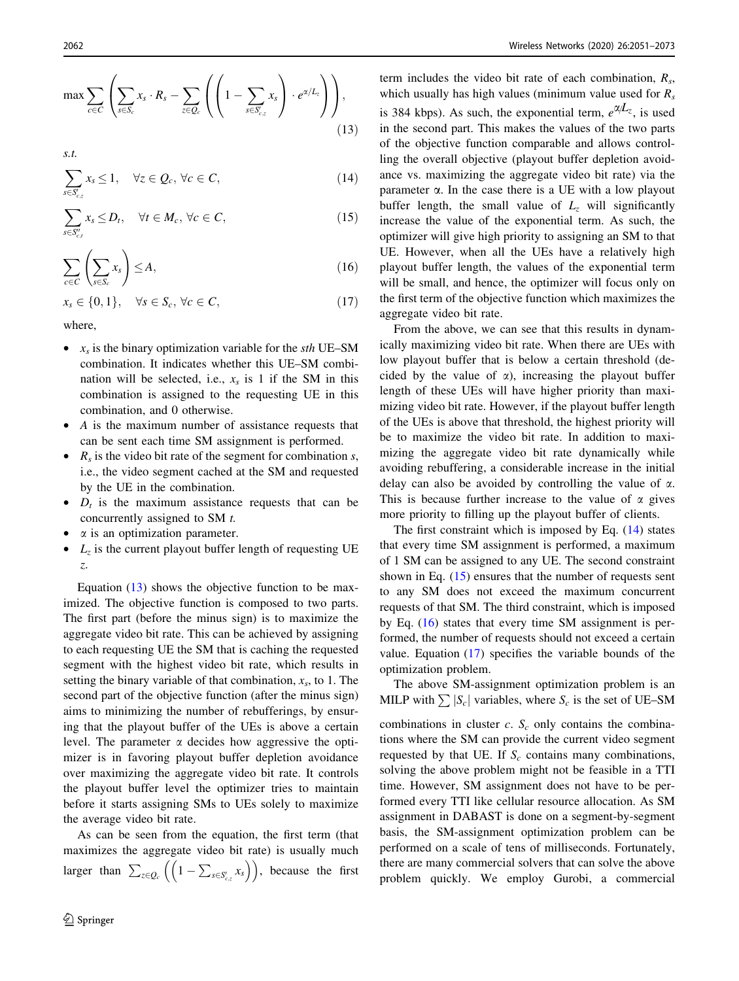$$
\max \sum_{c \in C} \left( \sum_{s \in S_c} x_s \cdot R_s - \sum_{z \in Q_c} \left( \left( 1 - \sum_{s \in S'_{c,z}} x_s \right) \cdot e^{\alpha/L_c} \right) \right),\tag{13}
$$

s.t.

$$
\sum_{s \in S'_{c,z}} x_s \le 1, \quad \forall z \in Q_c, \forall c \in C,
$$
\n(14)

$$
\sum_{s \in S''_{c,t}} x_s \le D_t, \quad \forall t \in M_c, \forall c \in C,
$$
\n(15)

$$
\sum_{c \in C} \left( \sum_{s \in S_c} x_s \right) \le A,\tag{16}
$$

$$
x_s \in \{0, 1\}, \quad \forall s \in S_c, \forall c \in C,
$$
\n
$$
(17)
$$

where,

- $x_s$  is the binary optimization variable for the *sth* UE–SM combination. It indicates whether this UE–SM combination will be selected, i.e.,  $x_s$  is 1 if the SM in this combination is assigned to the requesting UE in this combination, and 0 otherwise.
- A is the maximum number of assistance requests that can be sent each time SM assignment is performed.
- $R_s$  is the video bit rate of the segment for combination s, i.e., the video segment cached at the SM and requested by the UE in the combination.
- $D_t$  is the maximum assistance requests that can be concurrently assigned to SM t.
- $\alpha$  is an optimization parameter.
- $L_z$  is the current playout buffer length of requesting UE z.

Equation [\(13](#page-10-0)) shows the objective function to be maximized. The objective function is composed to two parts. The first part (before the minus sign) is to maximize the aggregate video bit rate. This can be achieved by assigning to each requesting UE the SM that is caching the requested segment with the highest video bit rate, which results in setting the binary variable of that combination,  $x<sub>s</sub>$ , to 1. The second part of the objective function (after the minus sign) aims to minimizing the number of rebufferings, by ensuring that the playout buffer of the UEs is above a certain level. The parameter  $\alpha$  decides how aggressive the optimizer is in favoring playout buffer depletion avoidance over maximizing the aggregate video bit rate. It controls the playout buffer level the optimizer tries to maintain before it starts assigning SMs to UEs solely to maximize the average video bit rate.

As can be seen from the equation, the first term (that maximizes the aggregate video bit rate) is usually much larger than  $\sum_{z \in Q_c} \left( \left(1 - \sum_{s \in S'_{c,z}} x_s \right) \right)$  $\left(\left(1-\sum_{s\in S'} x_s\right)\right)$ , because the first

term includes the video bit rate of each combination,  $R_s$ , which usually has high values (minimum value used for  $R_s$ is 384 kbps). As such, the exponential term,  $e^{\alpha/L_z}$ , is used in the second part. This makes the values of the two parts of the objective function comparable and allows controlling the overall objective (playout buffer depletion avoidance vs. maximizing the aggregate video bit rate) via the parameter  $\alpha$ . In the case there is a UE with a low playout buffer length, the small value of  $L_z$  will significantly increase the value of the exponential term. As such, the optimizer will give high priority to assigning an SM to that UE. However, when all the UEs have a relatively high playout buffer length, the values of the exponential term will be small, and hence, the optimizer will focus only on the first term of the objective function which maximizes the aggregate video bit rate.

From the above, we can see that this results in dynamically maximizing video bit rate. When there are UEs with low playout buffer that is below a certain threshold (decided by the value of  $\alpha$ ), increasing the playout buffer length of these UEs will have higher priority than maximizing video bit rate. However, if the playout buffer length of the UEs is above that threshold, the highest priority will be to maximize the video bit rate. In addition to maximizing the aggregate video bit rate dynamically while avoiding rebuffering, a considerable increase in the initial delay can also be avoided by controlling the value of  $\alpha$ . This is because further increase to the value of  $\alpha$  gives more priority to filling up the playout buffer of clients.

The first constraint which is imposed by Eq.  $(14)$  states that every time SM assignment is performed, a maximum of 1 SM can be assigned to any UE. The second constraint shown in Eq.  $(15)$  ensures that the number of requests sent to any SM does not exceed the maximum concurrent requests of that SM. The third constraint, which is imposed by Eq. (16) states that every time SM assignment is performed, the number of requests should not exceed a certain value. Equation (17) specifies the variable bounds of the optimization problem.

The above SM-assignment optimization problem is an MILP with  $\sum |S_c|$  variables, where  $S_c$  is the set of UE–SM

combinations in cluster  $c$ .  $S_c$  only contains the combinations where the SM can provide the current video segment requested by that UE. If  $S_c$  contains many combinations, solving the above problem might not be feasible in a TTI time. However, SM assignment does not have to be performed every TTI like cellular resource allocation. As SM assignment in DABAST is done on a segment-by-segment basis, the SM-assignment optimization problem can be performed on a scale of tens of milliseconds. Fortunately, there are many commercial solvers that can solve the above problem quickly. We employ Gurobi, a commercial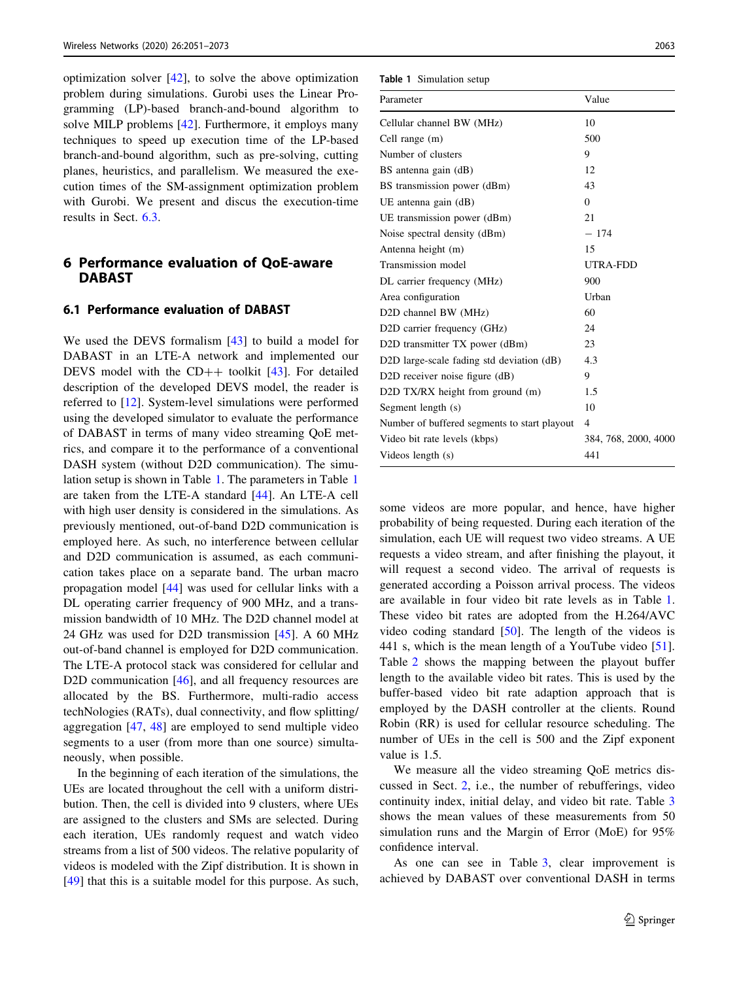<span id="page-12-0"></span>optimization solver [[42\]](#page-21-0), to solve the above optimization problem during simulations. Gurobi uses the Linear Programming (LP)-based branch-and-bound algorithm to solve MILP problems [\[42](#page-21-0)]. Furthermore, it employs many techniques to speed up execution time of the LP-based branch-and-bound algorithm, such as pre-solving, cutting planes, heuristics, and parallelism. We measured the execution times of the SM-assignment optimization problem with Gurobi. We present and discus the execution-time results in Sect. [6.3](#page-16-0).

# 6 Performance evaluation of QoE-aware DABAST

# 6.1 Performance evaluation of DABAST

We used the DEVS formalism [\[43](#page-21-0)] to build a model for DABAST in an LTE-A network and implemented our DEVS model with the  $CD++$  toolkit [[43\]](#page-21-0). For detailed description of the developed DEVS model, the reader is referred to [\[12](#page-20-0)]. System-level simulations were performed using the developed simulator to evaluate the performance of DABAST in terms of many video streaming QoE metrics, and compare it to the performance of a conventional DASH system (without D2D communication). The simulation setup is shown in Table 1. The parameters in Table 1 are taken from the LTE-A standard [\[44](#page-21-0)]. An LTE-A cell with high user density is considered in the simulations. As previously mentioned, out-of-band D2D communication is employed here. As such, no interference between cellular and D2D communication is assumed, as each communication takes place on a separate band. The urban macro propagation model [\[44](#page-21-0)] was used for cellular links with a DL operating carrier frequency of 900 MHz, and a transmission bandwidth of 10 MHz. The D2D channel model at 24 GHz was used for D2D transmission [[45\]](#page-21-0). A 60 MHz out-of-band channel is employed for D2D communication. The LTE-A protocol stack was considered for cellular and D2D communication [[46\]](#page-21-0), and all frequency resources are allocated by the BS. Furthermore, multi-radio access techNologies (RATs), dual connectivity, and flow splitting/ aggregation [\[47](#page-21-0), [48](#page-21-0)] are employed to send multiple video segments to a user (from more than one source) simultaneously, when possible.

In the beginning of each iteration of the simulations, the UEs are located throughout the cell with a uniform distribution. Then, the cell is divided into 9 clusters, where UEs are assigned to the clusters and SMs are selected. During each iteration, UEs randomly request and watch video streams from a list of 500 videos. The relative popularity of videos is modeled with the Zipf distribution. It is shown in [\[49](#page-21-0)] that this is a suitable model for this purpose. As such,

| Table 1 Simulation setup |  |  |
|--------------------------|--|--|
|--------------------------|--|--|

| Parameter                                    | Value                |
|----------------------------------------------|----------------------|
| Cellular channel BW (MHz)                    | 10                   |
| Cell range $(m)$                             | 500                  |
| Number of clusters                           | 9                    |
| BS antenna gain (dB)                         | 12                   |
| BS transmission power (dBm)                  | 43                   |
| UE antenna gain $(d)$                        | $\Omega$             |
| UE transmission power (dBm)                  | 21                   |
| Noise spectral density (dBm)                 | $-174$               |
| Antenna height (m)                           | 15                   |
| Transmission model                           | UTRA-FDD             |
| DL carrier frequency (MHz)                   | 900                  |
| Area configuration                           | Urban                |
| D2D channel BW (MHz)                         | 60                   |
| D2D carrier frequency (GHz)                  | 24                   |
| D2D transmitter TX power (dBm)               | 23                   |
| D2D large-scale fading std deviation (dB)    | 4.3                  |
| D2D receiver noise figure (dB)               | 9                    |
| D2D TX/RX height from ground (m)             | 1.5                  |
| Segment length (s)                           | 10                   |
| Number of buffered segments to start playout | $\overline{4}$       |
| Video bit rate levels (kbps)                 | 384, 768, 2000, 4000 |
| Videos length (s)                            | 441                  |
|                                              |                      |

some videos are more popular, and hence, have higher probability of being requested. During each iteration of the simulation, each UE will request two video streams. A UE requests a video stream, and after finishing the playout, it will request a second video. The arrival of requests is generated according a Poisson arrival process. The videos are available in four video bit rate levels as in Table 1. These video bit rates are adopted from the H.264/AVC video coding standard [[50\]](#page-21-0). The length of the videos is 441 s, which is the mean length of a YouTube video [\[51](#page-21-0)]. Table [2](#page-13-0) shows the mapping between the playout buffer length to the available video bit rates. This is used by the buffer-based video bit rate adaption approach that is employed by the DASH controller at the clients. Round Robin (RR) is used for cellular resource scheduling. The number of UEs in the cell is 500 and the Zipf exponent value is 1.5.

We measure all the video streaming QoE metrics discussed in Sect. [2](#page-1-0), i.e., the number of rebufferings, video continuity index, initial delay, and video bit rate. Table [3](#page-13-0) shows the mean values of these measurements from 50 simulation runs and the Margin of Error (MoE) for 95% confidence interval.

As one can see in Table [3](#page-13-0), clear improvement is achieved by DABAST over conventional DASH in terms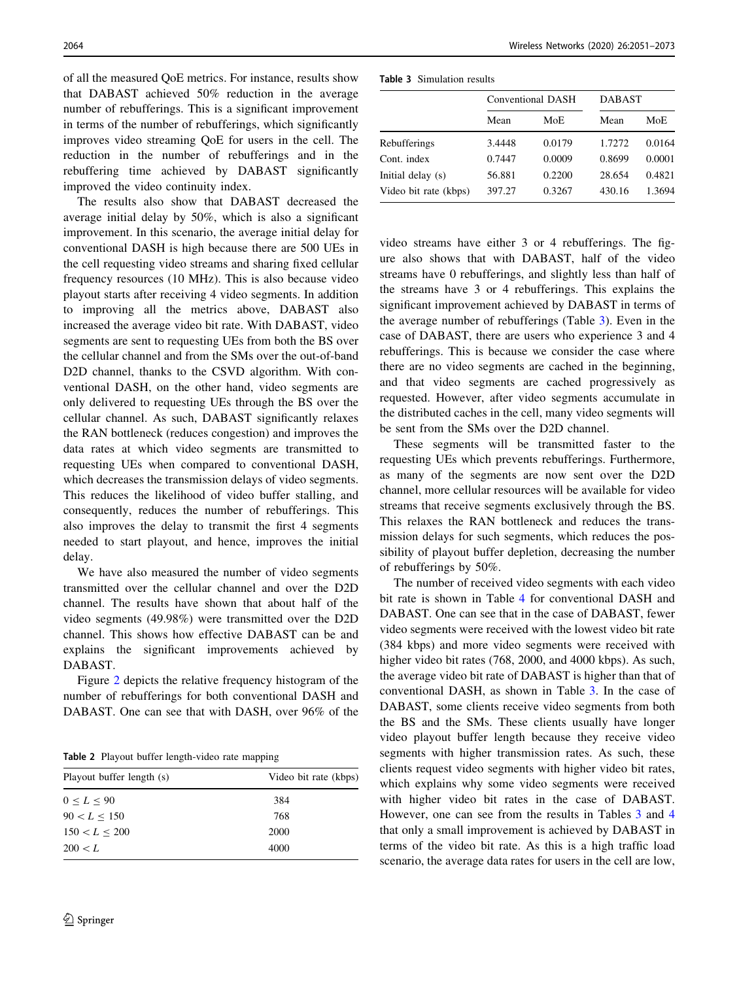<span id="page-13-0"></span>of all the measured QoE metrics. For instance, results show that DABAST achieved 50% reduction in the average number of rebufferings. This is a significant improvement in terms of the number of rebufferings, which significantly improves video streaming QoE for users in the cell. The reduction in the number of rebufferings and in the rebuffering time achieved by DABAST significantly improved the video continuity index.

The results also show that DABAST decreased the average initial delay by 50%, which is also a significant improvement. In this scenario, the average initial delay for conventional DASH is high because there are 500 UEs in the cell requesting video streams and sharing fixed cellular frequency resources (10 MHz). This is also because video playout starts after receiving 4 video segments. In addition to improving all the metrics above, DABAST also increased the average video bit rate. With DABAST, video segments are sent to requesting UEs from both the BS over the cellular channel and from the SMs over the out-of-band D2D channel, thanks to the CSVD algorithm. With conventional DASH, on the other hand, video segments are only delivered to requesting UEs through the BS over the cellular channel. As such, DABAST significantly relaxes the RAN bottleneck (reduces congestion) and improves the data rates at which video segments are transmitted to requesting UEs when compared to conventional DASH, which decreases the transmission delays of video segments. This reduces the likelihood of video buffer stalling, and consequently, reduces the number of rebufferings. This also improves the delay to transmit the first 4 segments needed to start playout, and hence, improves the initial delay.

We have also measured the number of video segments transmitted over the cellular channel and over the D2D channel. The results have shown that about half of the video segments (49.98%) were transmitted over the D2D channel. This shows how effective DABAST can be and explains the significant improvements achieved by DABAST.

Figure [2](#page-14-0) depicts the relative frequency histogram of the number of rebufferings for both conventional DASH and DABAST. One can see that with DASH, over 96% of the

Table 2 Playout buffer length-video rate mapping

| Playout buffer length (s) | Video bit rate (kbps) |  |  |
|---------------------------|-----------------------|--|--|
| 0 < L < 90                | 384                   |  |  |
| 90 < L < 150              | 768                   |  |  |
| 150 < L < 200             | 2000                  |  |  |
| 200 < L                   | 4000                  |  |  |

|  | <b>Table 3</b> Simulation results |  |
|--|-----------------------------------|--|
|--|-----------------------------------|--|

|        |        | <b>DABAST</b>     |        |  |
|--------|--------|-------------------|--------|--|
| Mean   | MoE    | Mean              | MoE    |  |
| 3.4448 | 0.0179 | 1.7272            | 0.0164 |  |
| 0.7447 | 0.0009 | 0.8699            | 0.0001 |  |
| 56.881 | 0.2200 | 28.654            | 0.4821 |  |
| 397.27 | 0.3267 | 430.16            | 1.3694 |  |
|        |        | Conventional DASH |        |  |

video streams have either 3 or 4 rebufferings. The figure also shows that with DABAST, half of the video streams have 0 rebufferings, and slightly less than half of the streams have 3 or 4 rebufferings. This explains the significant improvement achieved by DABAST in terms of the average number of rebufferings (Table 3). Even in the case of DABAST, there are users who experience 3 and 4 rebufferings. This is because we consider the case where there are no video segments are cached in the beginning, and that video segments are cached progressively as requested. However, after video segments accumulate in the distributed caches in the cell, many video segments will be sent from the SMs over the D2D channel.

These segments will be transmitted faster to the requesting UEs which prevents rebufferings. Furthermore, as many of the segments are now sent over the D2D channel, more cellular resources will be available for video streams that receive segments exclusively through the BS. This relaxes the RAN bottleneck and reduces the transmission delays for such segments, which reduces the possibility of playout buffer depletion, decreasing the number of rebufferings by 50%.

The number of received video segments with each video bit rate is shown in Table [4](#page-14-0) for conventional DASH and DABAST. One can see that in the case of DABAST, fewer video segments were received with the lowest video bit rate (384 kbps) and more video segments were received with higher video bit rates (768, 2000, and 4000 kbps). As such, the average video bit rate of DABAST is higher than that of conventional DASH, as shown in Table 3. In the case of DABAST, some clients receive video segments from both the BS and the SMs. These clients usually have longer video playout buffer length because they receive video segments with higher transmission rates. As such, these clients request video segments with higher video bit rates, which explains why some video segments were received with higher video bit rates in the case of DABAST. However, one can see from the results in Tables 3 and [4](#page-14-0) that only a small improvement is achieved by DABAST in terms of the video bit rate. As this is a high traffic load scenario, the average data rates for users in the cell are low,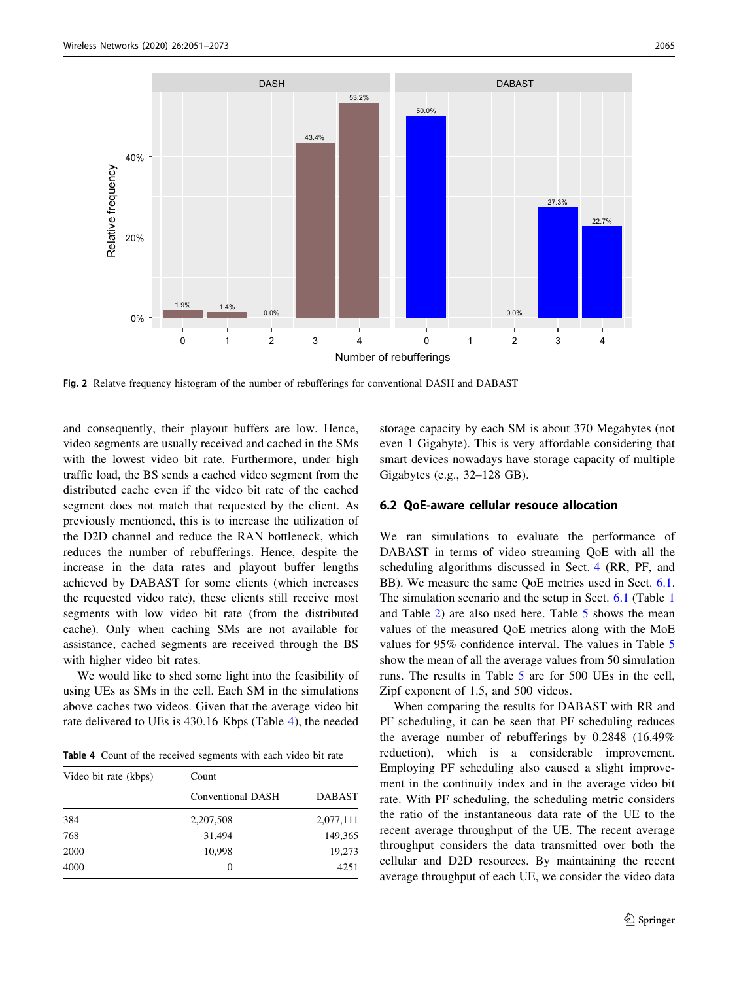<span id="page-14-0"></span>

Fig. 2 Relatve frequency histogram of the number of rebufferings for conventional DASH and DABAST

and consequently, their playout buffers are low. Hence, video segments are usually received and cached in the SMs with the lowest video bit rate. Furthermore, under high traffic load, the BS sends a cached video segment from the distributed cache even if the video bit rate of the cached segment does not match that requested by the client. As previously mentioned, this is to increase the utilization of the D2D channel and reduce the RAN bottleneck, which reduces the number of rebufferings. Hence, despite the increase in the data rates and playout buffer lengths achieved by DABAST for some clients (which increases the requested video rate), these clients still receive most segments with low video bit rate (from the distributed cache). Only when caching SMs are not available for assistance, cached segments are received through the BS with higher video bit rates.

We would like to shed some light into the feasibility of using UEs as SMs in the cell. Each SM in the simulations above caches two videos. Given that the average video bit rate delivered to UEs is 430.16 Kbps (Table 4), the needed

Table 4 Count of the received segments with each video bit rate

| Video bit rate (kbps) | Count             |               |  |  |
|-----------------------|-------------------|---------------|--|--|
|                       | Conventional DASH | <b>DABAST</b> |  |  |
| 384                   | 2,207,508         | 2,077,111     |  |  |
| 768                   | 31,494            | 149,365       |  |  |
| 2000                  | 10,998            | 19,273        |  |  |
| 4000                  | 0                 | 4251          |  |  |

storage capacity by each SM is about 370 Megabytes (not even 1 Gigabyte). This is very affordable considering that smart devices nowadays have storage capacity of multiple Gigabytes (e.g., 32–128 GB).

# 6.2 QoE-aware cellular resouce allocation

We ran simulations to evaluate the performance of DABAST in terms of video streaming QoE with all the scheduling algorithms discussed in Sect. [4](#page-6-0) (RR, PF, and BB). We measure the same QoE metrics used in Sect. [6.1.](#page-12-0) The simulation scenario and the setup in Sect. [6.1](#page-12-0) (Table [1](#page-12-0) and Table [2](#page-13-0)) are also used here. Table [5](#page-15-0) shows the mean values of the measured QoE metrics along with the MoE values for 95% confidence interval. The values in Table [5](#page-15-0) show the mean of all the average values from 50 simulation runs. The results in Table [5](#page-15-0) are for 500 UEs in the cell, Zipf exponent of 1.5, and 500 videos.

When comparing the results for DABAST with RR and PF scheduling, it can be seen that PF scheduling reduces the average number of rebufferings by 0.2848 (16.49% reduction), which is a considerable improvement. Employing PF scheduling also caused a slight improvement in the continuity index and in the average video bit rate. With PF scheduling, the scheduling metric considers the ratio of the instantaneous data rate of the UE to the recent average throughput of the UE. The recent average throughput considers the data transmitted over both the cellular and D2D resources. By maintaining the recent average throughput of each UE, we consider the video data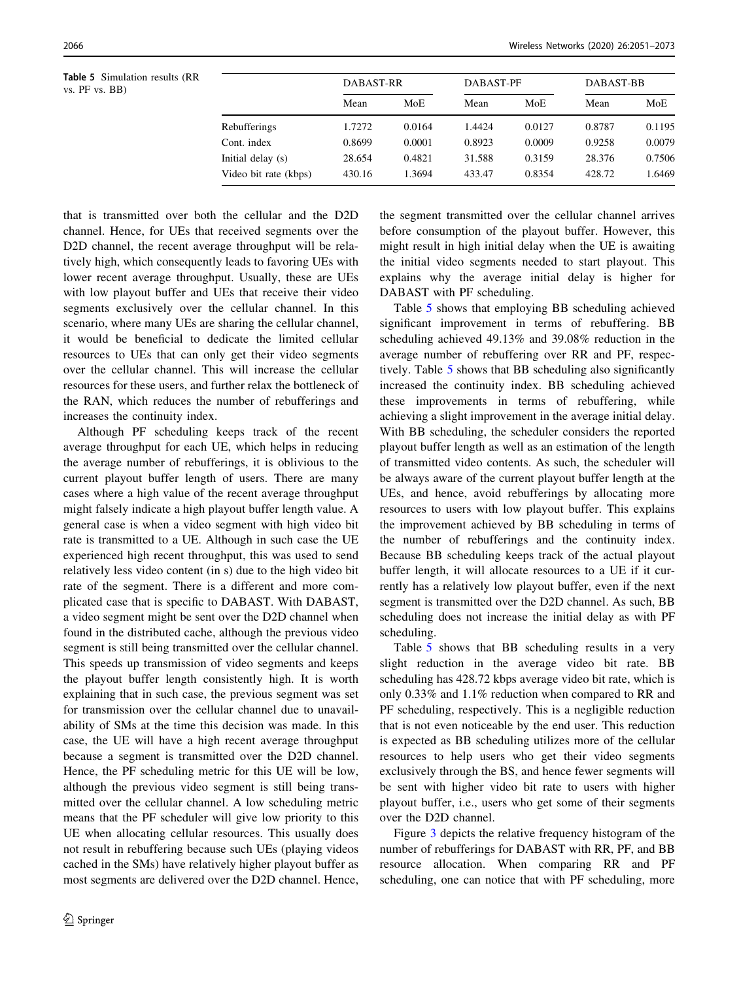Table 5 Simulation results (RR

<span id="page-15-0"></span>

|                       | DABAST-RR |        | DABAST-PF |        | DABAST-BB |        |
|-----------------------|-----------|--------|-----------|--------|-----------|--------|
|                       | Mean      | MoE    | Mean      | MoE    | Mean      | MoE    |
| Rebufferings          | 1.7272    | 0.0164 | 1.4424    | 0.0127 | 0.8787    | 0.1195 |
| Cont. index           | 0.8699    | 0.0001 | 0.8923    | 0.0009 | 0.9258    | 0.0079 |
| Initial delay (s)     | 28.654    | 0.4821 | 31.588    | 0.3159 | 28.376    | 0.7506 |
| Video bit rate (kbps) | 430.16    | 1.3694 | 433.47    | 0.8354 | 428.72    | 1.6469 |
|                       |           |        |           |        |           |        |

that is transmitted over both the cellular and the D2D channel. Hence, for UEs that received segments over the D2D channel, the recent average throughput will be relatively high, which consequently leads to favoring UEs with lower recent average throughput. Usually, these are UEs with low playout buffer and UEs that receive their video segments exclusively over the cellular channel. In this scenario, where many UEs are sharing the cellular channel, it would be beneficial to dedicate the limited cellular resources to UEs that can only get their video segments over the cellular channel. This will increase the cellular resources for these users, and further relax the bottleneck of the RAN, which reduces the number of rebufferings and increases the continuity index.

Although PF scheduling keeps track of the recent average throughput for each UE, which helps in reducing the average number of rebufferings, it is oblivious to the current playout buffer length of users. There are many cases where a high value of the recent average throughput might falsely indicate a high playout buffer length value. A general case is when a video segment with high video bit rate is transmitted to a UE. Although in such case the UE experienced high recent throughput, this was used to send relatively less video content (in s) due to the high video bit rate of the segment. There is a different and more complicated case that is specific to DABAST. With DABAST, a video segment might be sent over the D2D channel when found in the distributed cache, although the previous video segment is still being transmitted over the cellular channel. This speeds up transmission of video segments and keeps the playout buffer length consistently high. It is worth explaining that in such case, the previous segment was set for transmission over the cellular channel due to unavailability of SMs at the time this decision was made. In this case, the UE will have a high recent average throughput because a segment is transmitted over the D2D channel. Hence, the PF scheduling metric for this UE will be low, although the previous video segment is still being transmitted over the cellular channel. A low scheduling metric means that the PF scheduler will give low priority to this UE when allocating cellular resources. This usually does not result in rebuffering because such UEs (playing videos cached in the SMs) have relatively higher playout buffer as most segments are delivered over the D2D channel. Hence, the segment transmitted over the cellular channel arrives before consumption of the playout buffer. However, this might result in high initial delay when the UE is awaiting the initial video segments needed to start playout. This explains why the average initial delay is higher for DABAST with PF scheduling.

Table 5 shows that employing BB scheduling achieved significant improvement in terms of rebuffering. BB scheduling achieved 49.13% and 39.08% reduction in the average number of rebuffering over RR and PF, respectively. Table 5 shows that BB scheduling also significantly increased the continuity index. BB scheduling achieved these improvements in terms of rebuffering, while achieving a slight improvement in the average initial delay. With BB scheduling, the scheduler considers the reported playout buffer length as well as an estimation of the length of transmitted video contents. As such, the scheduler will be always aware of the current playout buffer length at the UEs, and hence, avoid rebufferings by allocating more resources to users with low playout buffer. This explains the improvement achieved by BB scheduling in terms of the number of rebufferings and the continuity index. Because BB scheduling keeps track of the actual playout buffer length, it will allocate resources to a UE if it currently has a relatively low playout buffer, even if the next segment is transmitted over the D2D channel. As such, BB scheduling does not increase the initial delay as with PF scheduling.

Table 5 shows that BB scheduling results in a very slight reduction in the average video bit rate. BB scheduling has 428.72 kbps average video bit rate, which is only 0.33% and 1.1% reduction when compared to RR and PF scheduling, respectively. This is a negligible reduction that is not even noticeable by the end user. This reduction is expected as BB scheduling utilizes more of the cellular resources to help users who get their video segments exclusively through the BS, and hence fewer segments will be sent with higher video bit rate to users with higher playout buffer, i.e., users who get some of their segments over the D2D channel.

Figure [3](#page-16-0) depicts the relative frequency histogram of the number of rebufferings for DABAST with RR, PF, and BB resource allocation. When comparing RR and PF scheduling, one can notice that with PF scheduling, more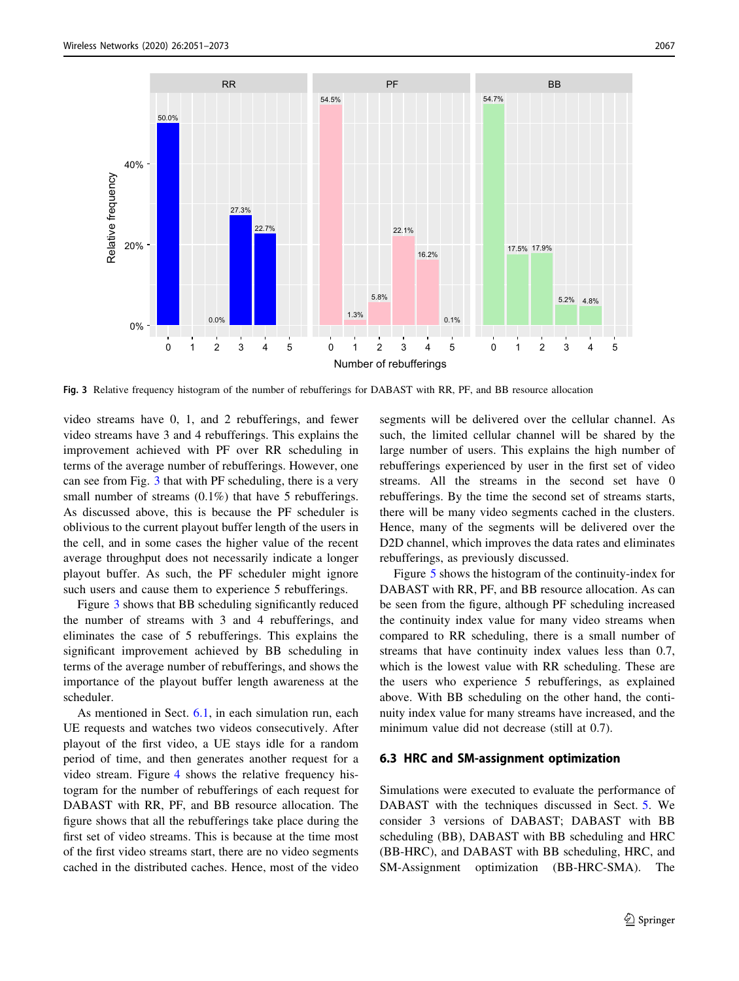<span id="page-16-0"></span>

Fig. 3 Relative frequency histogram of the number of rebufferings for DABAST with RR, PF, and BB resource allocation

video streams have 0, 1, and 2 rebufferings, and fewer video streams have 3 and 4 rebufferings. This explains the improvement achieved with PF over RR scheduling in terms of the average number of rebufferings. However, one can see from Fig. 3 that with PF scheduling, there is a very small number of streams  $(0.1\%)$  that have 5 rebufferings. As discussed above, this is because the PF scheduler is oblivious to the current playout buffer length of the users in the cell, and in some cases the higher value of the recent average throughput does not necessarily indicate a longer playout buffer. As such, the PF scheduler might ignore such users and cause them to experience 5 rebufferings.

Figure 3 shows that BB scheduling significantly reduced the number of streams with 3 and 4 rebufferings, and eliminates the case of 5 rebufferings. This explains the significant improvement achieved by BB scheduling in terms of the average number of rebufferings, and shows the importance of the playout buffer length awareness at the scheduler.

As mentioned in Sect. [6.1](#page-12-0), in each simulation run, each UE requests and watches two videos consecutively. After playout of the first video, a UE stays idle for a random period of time, and then generates another request for a video stream. Figure [4](#page-17-0) shows the relative frequency histogram for the number of rebufferings of each request for DABAST with RR, PF, and BB resource allocation. The figure shows that all the rebufferings take place during the first set of video streams. This is because at the time most of the first video streams start, there are no video segments cached in the distributed caches. Hence, most of the video segments will be delivered over the cellular channel. As such, the limited cellular channel will be shared by the large number of users. This explains the high number of rebufferings experienced by user in the first set of video streams. All the streams in the second set have 0 rebufferings. By the time the second set of streams starts, there will be many video segments cached in the clusters. Hence, many of the segments will be delivered over the D2D channel, which improves the data rates and eliminates rebufferings, as previously discussed.

Figure [5](#page-17-0) shows the histogram of the continuity-index for DABAST with RR, PF, and BB resource allocation. As can be seen from the figure, although PF scheduling increased the continuity index value for many video streams when compared to RR scheduling, there is a small number of streams that have continuity index values less than 0.7, which is the lowest value with RR scheduling. These are the users who experience 5 rebufferings, as explained above. With BB scheduling on the other hand, the continuity index value for many streams have increased, and the minimum value did not decrease (still at 0.7).

### 6.3 HRC and SM-assignment optimization

Simulations were executed to evaluate the performance of DABAST with the techniques discussed in Sect. [5.](#page-9-0) We consider 3 versions of DABAST; DABAST with BB scheduling (BB), DABAST with BB scheduling and HRC (BB-HRC), and DABAST with BB scheduling, HRC, and SM-Assignment optimization (BB-HRC-SMA). The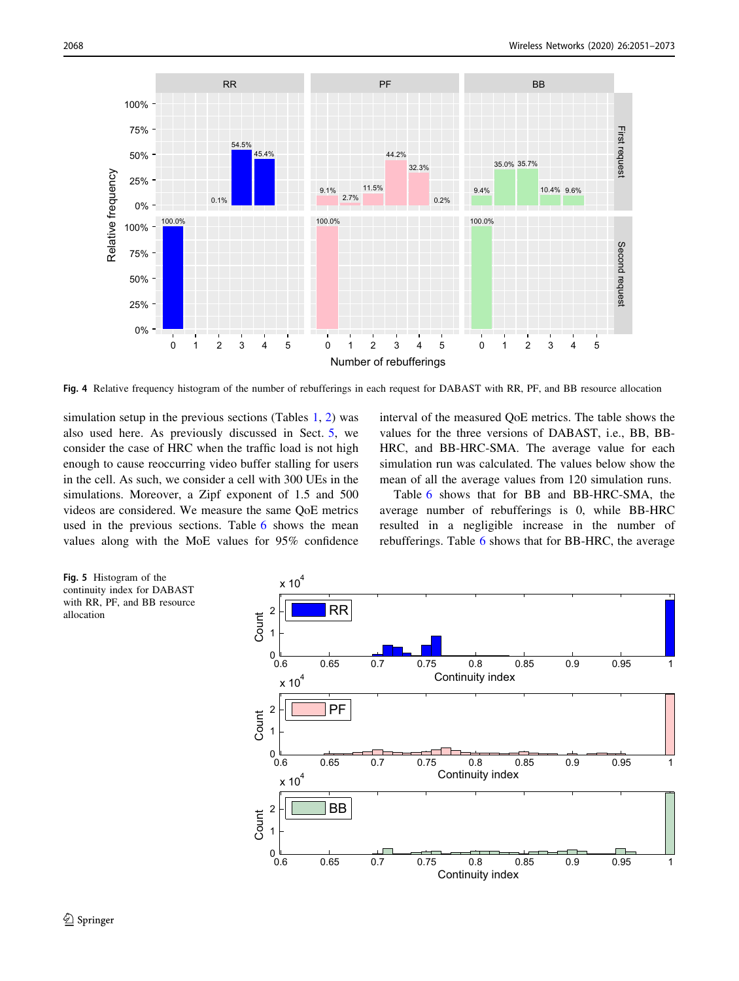<span id="page-17-0"></span>

Fig. 4 Relative frequency histogram of the number of rebufferings in each request for DABAST with RR, PF, and BB resource allocation

simulation setup in the previous sections (Tables [1,](#page-12-0) [2](#page-13-0)) was also used here. As previously discussed in Sect. [5,](#page-9-0) we consider the case of HRC when the traffic load is not high enough to cause reoccurring video buffer stalling for users in the cell. As such, we consider a cell with 300 UEs in the simulations. Moreover, a Zipf exponent of 1.5 and 500 videos are considered. We measure the same QoE metrics used in the previous sections. Table [6](#page-18-0) shows the mean values along with the MoE values for 95% confidence interval of the measured QoE metrics. The table shows the values for the three versions of DABAST, i.e., BB, BB-HRC, and BB-HRC-SMA. The average value for each simulation run was calculated. The values below show the mean of all the average values from 120 simulation runs.

Table [6](#page-18-0) shows that for BB and BB-HRC-SMA, the average number of rebufferings is 0, while BB-HRC resulted in a negligible increase in the number of rebufferings. Table [6](#page-18-0) shows that for BB-HRC, the average



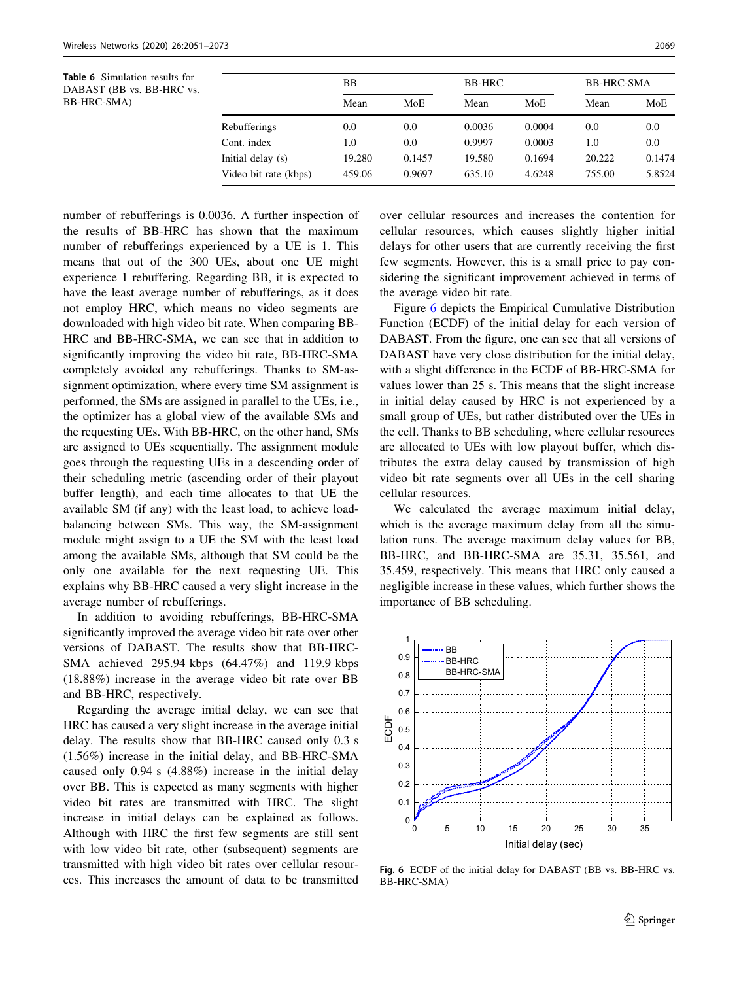<span id="page-18-0"></span>Table 6 Simulation results for DABAST (BB vs. BB-HRC vs. BB-HRC-SMA)

|                       | BB     |        | <b>BB-HRC</b> |        |        | <b>BB-HRC-SMA</b> |  |
|-----------------------|--------|--------|---------------|--------|--------|-------------------|--|
|                       | Mean   | MoE    | Mean          | MoE    | Mean   | MoE               |  |
| Rebufferings          | 0.0    | 0.0    | 0.0036        | 0.0004 | 0.0    | 0.0               |  |
| Cont. index           | 1.0    | 0.0    | 0.9997        | 0.0003 | 1.0    | 0.0               |  |
| Initial delay (s)     | 19.280 | 0.1457 | 19.580        | 0.1694 | 20.222 | 0.1474            |  |
| Video bit rate (kbps) | 459.06 | 0.9697 | 635.10        | 4.6248 | 755.00 | 5.8524            |  |

number of rebufferings is 0.0036. A further inspection of the results of BB-HRC has shown that the maximum number of rebufferings experienced by a UE is 1. This means that out of the 300 UEs, about one UE might experience 1 rebuffering. Regarding BB, it is expected to have the least average number of rebufferings, as it does not employ HRC, which means no video segments are downloaded with high video bit rate. When comparing BB-HRC and BB-HRC-SMA, we can see that in addition to significantly improving the video bit rate, BB-HRC-SMA completely avoided any rebufferings. Thanks to SM-assignment optimization, where every time SM assignment is performed, the SMs are assigned in parallel to the UEs, i.e., the optimizer has a global view of the available SMs and the requesting UEs. With BB-HRC, on the other hand, SMs are assigned to UEs sequentially. The assignment module goes through the requesting UEs in a descending order of their scheduling metric (ascending order of their playout buffer length), and each time allocates to that UE the available SM (if any) with the least load, to achieve loadbalancing between SMs. This way, the SM-assignment module might assign to a UE the SM with the least load among the available SMs, although that SM could be the only one available for the next requesting UE. This explains why BB-HRC caused a very slight increase in the average number of rebufferings.

In addition to avoiding rebufferings, BB-HRC-SMA significantly improved the average video bit rate over other versions of DABAST. The results show that BB-HRC-SMA achieved 295.94 kbps (64.47%) and 119.9 kbps (18.88%) increase in the average video bit rate over BB and BB-HRC, respectively.

Regarding the average initial delay, we can see that HRC has caused a very slight increase in the average initial delay. The results show that BB-HRC caused only 0.3 s (1.56%) increase in the initial delay, and BB-HRC-SMA caused only 0.94 s (4.88%) increase in the initial delay over BB. This is expected as many segments with higher video bit rates are transmitted with HRC. The slight increase in initial delays can be explained as follows. Although with HRC the first few segments are still sent with low video bit rate, other (subsequent) segments are transmitted with high video bit rates over cellular resources. This increases the amount of data to be transmitted over cellular resources and increases the contention for cellular resources, which causes slightly higher initial delays for other users that are currently receiving the first few segments. However, this is a small price to pay considering the significant improvement achieved in terms of the average video bit rate.

Figure 6 depicts the Empirical Cumulative Distribution Function (ECDF) of the initial delay for each version of DABAST. From the figure, one can see that all versions of DABAST have very close distribution for the initial delay, with a slight difference in the ECDF of BB-HRC-SMA for values lower than 25 s. This means that the slight increase in initial delay caused by HRC is not experienced by a small group of UEs, but rather distributed over the UEs in the cell. Thanks to BB scheduling, where cellular resources are allocated to UEs with low playout buffer, which distributes the extra delay caused by transmission of high video bit rate segments over all UEs in the cell sharing cellular resources.

We calculated the average maximum initial delay, which is the average maximum delay from all the simulation runs. The average maximum delay values for BB, BB-HRC, and BB-HRC-SMA are 35.31, 35.561, and 35.459, respectively. This means that HRC only caused a negligible increase in these values, which further shows the importance of BB scheduling.



Fig. 6 ECDF of the initial delay for DABAST (BB vs. BB-HRC vs. BB-HRC-SMA)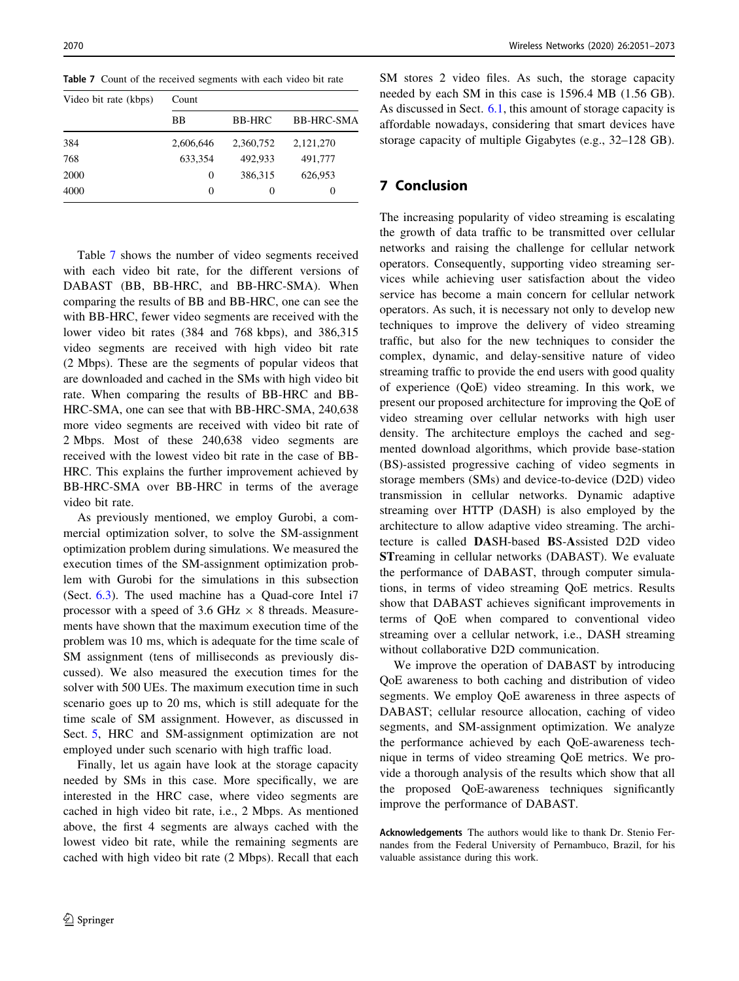<span id="page-19-0"></span>Table 7 Count of the received segments with each video bit rate

| Video bit rate (kbps) | Count     |           |                   |  |  |
|-----------------------|-----------|-----------|-------------------|--|--|
|                       | ВB        | BB-HRC    | <b>BB-HRC-SMA</b> |  |  |
| 384                   | 2,606,646 | 2,360,752 | 2,121,270         |  |  |
| 768                   | 633,354   | 492.933   | 491.777           |  |  |
| 2000                  | 0         | 386.315   | 626,953           |  |  |
| 4000                  | 0         | $\theta$  | $\theta$          |  |  |
|                       |           |           |                   |  |  |

Table 7 shows the number of video segments received with each video bit rate, for the different versions of DABAST (BB, BB-HRC, and BB-HRC-SMA). When comparing the results of BB and BB-HRC, one can see the with BB-HRC, fewer video segments are received with the lower video bit rates (384 and 768 kbps), and 386,315 video segments are received with high video bit rate (2 Mbps). These are the segments of popular videos that are downloaded and cached in the SMs with high video bit rate. When comparing the results of BB-HRC and BB-HRC-SMA, one can see that with BB-HRC-SMA, 240,638 more video segments are received with video bit rate of 2 Mbps. Most of these 240,638 video segments are received with the lowest video bit rate in the case of BB-HRC. This explains the further improvement achieved by BB-HRC-SMA over BB-HRC in terms of the average video bit rate.

As previously mentioned, we employ Gurobi, a commercial optimization solver, to solve the SM-assignment optimization problem during simulations. We measured the execution times of the SM-assignment optimization problem with Gurobi for the simulations in this subsection (Sect. [6.3\)](#page-16-0). The used machine has a Quad-core Intel i7 processor with a speed of 3.6 GHz  $\times$  8 threads. Measurements have shown that the maximum execution time of the problem was 10 ms, which is adequate for the time scale of SM assignment (tens of milliseconds as previously discussed). We also measured the execution times for the solver with 500 UEs. The maximum execution time in such scenario goes up to 20 ms, which is still adequate for the time scale of SM assignment. However, as discussed in Sect. [5](#page-9-0), HRC and SM-assignment optimization are not employed under such scenario with high traffic load.

Finally, let us again have look at the storage capacity needed by SMs in this case. More specifically, we are interested in the HRC case, where video segments are cached in high video bit rate, i.e., 2 Mbps. As mentioned above, the first 4 segments are always cached with the lowest video bit rate, while the remaining segments are cached with high video bit rate (2 Mbps). Recall that each SM stores 2 video files. As such, the storage capacity needed by each SM in this case is 1596.4 MB (1.56 GB). As discussed in Sect. [6.1,](#page-12-0) this amount of storage capacity is affordable nowadays, considering that smart devices have storage capacity of multiple Gigabytes (e.g., 32–128 GB).

# 7 Conclusion

The increasing popularity of video streaming is escalating the growth of data traffic to be transmitted over cellular networks and raising the challenge for cellular network operators. Consequently, supporting video streaming services while achieving user satisfaction about the video service has become a main concern for cellular network operators. As such, it is necessary not only to develop new techniques to improve the delivery of video streaming traffic, but also for the new techniques to consider the complex, dynamic, and delay-sensitive nature of video streaming traffic to provide the end users with good quality of experience (QoE) video streaming. In this work, we present our proposed architecture for improving the QoE of video streaming over cellular networks with high user density. The architecture employs the cached and segmented download algorithms, which provide base-station (BS)-assisted progressive caching of video segments in storage members (SMs) and device-to-device (D2D) video transmission in cellular networks. Dynamic adaptive streaming over HTTP (DASH) is also employed by the architecture to allow adaptive video streaming. The architecture is called DASH-based BS-Assisted D2D video STreaming in cellular networks (DABAST). We evaluate the performance of DABAST, through computer simulations, in terms of video streaming QoE metrics. Results show that DABAST achieves significant improvements in terms of QoE when compared to conventional video streaming over a cellular network, i.e., DASH streaming without collaborative D2D communication.

We improve the operation of DABAST by introducing QoE awareness to both caching and distribution of video segments. We employ QoE awareness in three aspects of DABAST; cellular resource allocation, caching of video segments, and SM-assignment optimization. We analyze the performance achieved by each QoE-awareness technique in terms of video streaming QoE metrics. We provide a thorough analysis of the results which show that all the proposed QoE-awareness techniques significantly improve the performance of DABAST.

Acknowledgements The authors would like to thank Dr. Stenio Fernandes from the Federal University of Pernambuco, Brazil, for his valuable assistance during this work.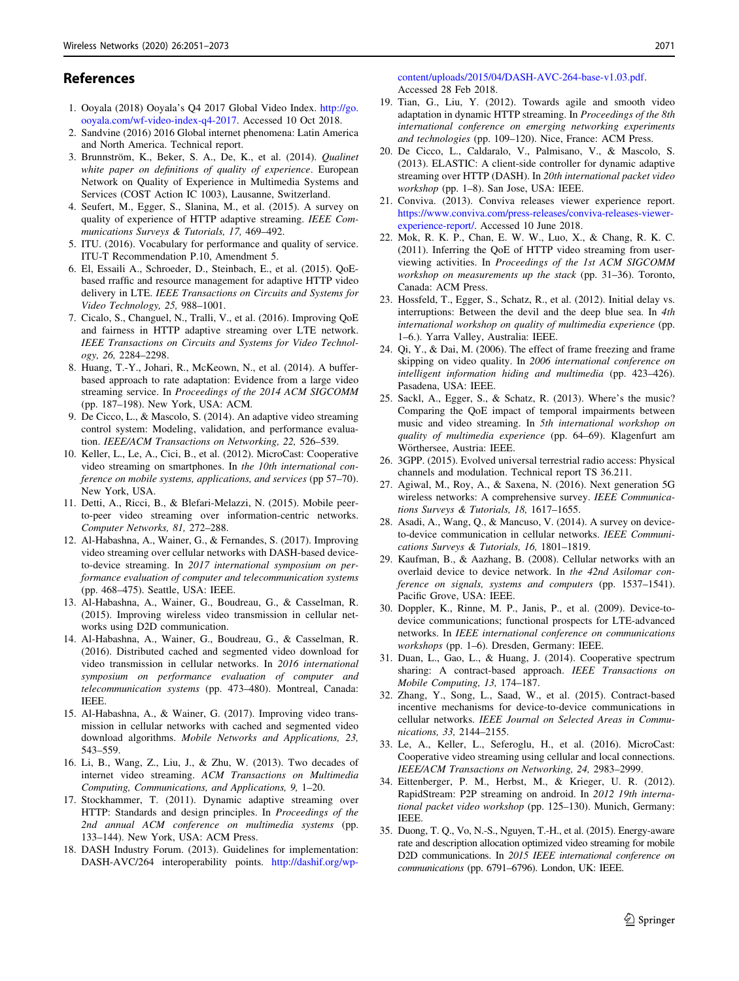# <span id="page-20-0"></span>References

- 1. Ooyala (2018) Ooyala's Q4 2017 Global Video Index. [http://go.](http://go.ooyala.com/wf-video-index-q4-2017) [ooyala.com/wf-video-index-q4-2017.](http://go.ooyala.com/wf-video-index-q4-2017) Accessed 10 Oct 2018.
- 2. Sandvine (2016) 2016 Global internet phenomena: Latin America and North America. Technical report.
- 3. Brunnström, K., Beker, S. A., De, K., et al. (2014). Qualinet white paper on definitions of quality of experience. European Network on Quality of Experience in Multimedia Systems and Services (COST Action IC 1003), Lausanne, Switzerland.
- 4. Seufert, M., Egger, S., Slanina, M., et al. (2015). A survey on quality of experience of HTTP adaptive streaming. IEEE Communications Surveys & Tutorials, 17, 469–492.
- 5. ITU. (2016). Vocabulary for performance and quality of service. ITU-T Recommendation P.10, Amendment 5.
- 6. El, Essaili A., Schroeder, D., Steinbach, E., et al. (2015). QoEbased rraffic and resource management for adaptive HTTP video delivery in LTE. IEEE Transactions on Circuits and Systems for Video Technology, 25, 988–1001.
- 7. Cicalo, S., Changuel, N., Tralli, V., et al. (2016). Improving QoE and fairness in HTTP adaptive streaming over LTE network. IEEE Transactions on Circuits and Systems for Video Technology, 26, 2284–2298.
- 8. Huang, T.-Y., Johari, R., McKeown, N., et al. (2014). A bufferbased approach to rate adaptation: Evidence from a large video streaming service. In Proceedings of the 2014 ACM SIGCOMM (pp. 187–198). New York, USA: ACM.
- 9. De Cicco, L., & Mascolo, S. (2014). An adaptive video streaming control system: Modeling, validation, and performance evaluation. IEEE/ACM Transactions on Networking, 22, 526–539.
- 10. Keller, L., Le, A., Cici, B., et al. (2012). MicroCast: Cooperative video streaming on smartphones. In the 10th international conference on mobile systems, applications, and services (pp 57–70). New York, USA.
- 11. Detti, A., Ricci, B., & Blefari-Melazzi, N. (2015). Mobile peerto-peer video streaming over information-centric networks. Computer Networks, 81, 272–288.
- 12. Al-Habashna, A., Wainer, G., & Fernandes, S. (2017). Improving video streaming over cellular networks with DASH-based deviceto-device streaming. In 2017 international symposium on performance evaluation of computer and telecommunication systems (pp. 468–475). Seattle, USA: IEEE.
- 13. Al-Habashna, A., Wainer, G., Boudreau, G., & Casselman, R. (2015). Improving wireless video transmission in cellular networks using D2D communication.
- 14. Al-Habashna, A., Wainer, G., Boudreau, G., & Casselman, R. (2016). Distributed cached and segmented video download for video transmission in cellular networks. In 2016 international symposium on performance evaluation of computer and telecommunication systems (pp. 473–480). Montreal, Canada: IEEE.
- 15. Al-Habashna, A., & Wainer, G. (2017). Improving video transmission in cellular networks with cached and segmented video download algorithms. Mobile Networks and Applications, 23, 543–559.
- 16. Li, B., Wang, Z., Liu, J., & Zhu, W. (2013). Two decades of internet video streaming. ACM Transactions on Multimedia Computing, Communications, and Applications, 9, 1–20.
- 17. Stockhammer, T. (2011). Dynamic adaptive streaming over HTTP: Standards and design principles. In Proceedings of the 2nd annual ACM conference on multimedia systems (pp. 133–144). New York, USA: ACM Press.
- 18. DASH Industry Forum. (2013). Guidelines for implementation: DASH-AVC/264 interoperability points. [http://dashif.org/wp-](http://dashif.org/wp-content/uploads/2015/04/DASH-AVC-264-base-v1.03.pdf)

[content/uploads/2015/04/DASH-AVC-264-base-v1.03.pdf](http://dashif.org/wp-content/uploads/2015/04/DASH-AVC-264-base-v1.03.pdf). Accessed 28 Feb 2018.

- 19. Tian, G., Liu, Y. (2012). Towards agile and smooth video adaptation in dynamic HTTP streaming. In Proceedings of the 8th international conference on emerging networking experiments and technologies (pp. 109–120). Nice, France: ACM Press.
- 20. De Cicco, L., Caldaralo, V., Palmisano, V., & Mascolo, S. (2013). ELASTIC: A client-side controller for dynamic adaptive streaming over HTTP (DASH). In 20th international packet video workshop (pp. 1–8). San Jose, USA: IEEE.
- 21. Conviva. (2013). Conviva releases viewer experience report. [https://www.conviva.com/press-releases/conviva-releases-viewer](https://www.conviva.com/press-releases/conviva-releases-viewer-experience-report/)[experience-report/](https://www.conviva.com/press-releases/conviva-releases-viewer-experience-report/). Accessed 10 June 2018.
- 22. Mok, R. K. P., Chan, E. W. W., Luo, X., & Chang, R. K. C. (2011). Inferring the QoE of HTTP video streaming from userviewing activities. In Proceedings of the 1st ACM SIGCOMM workshop on measurements up the stack (pp. 31–36). Toronto, Canada: ACM Press.
- 23. Hossfeld, T., Egger, S., Schatz, R., et al. (2012). Initial delay vs. interruptions: Between the devil and the deep blue sea. In 4th international workshop on quality of multimedia experience (pp. 1–6.). Yarra Valley, Australia: IEEE.
- 24. Qi, Y., & Dai, M. (2006). The effect of frame freezing and frame skipping on video quality. In 2006 international conference on intelligent information hiding and multimedia (pp. 423–426). Pasadena, USA: IEEE.
- 25. Sackl, A., Egger, S., & Schatz, R. (2013). Where's the music? Comparing the QoE impact of temporal impairments between music and video streaming. In 5th international workshop on quality of multimedia experience (pp. 64–69). Klagenfurt am Wörthersee, Austria: IEEE.
- 26. 3GPP. (2015). Evolved universal terrestrial radio access: Physical channels and modulation. Technical report TS 36.211.
- 27. Agiwal, M., Roy, A., & Saxena, N. (2016). Next generation 5G wireless networks: A comprehensive survey. IEEE Communications Surveys & Tutorials, 18, 1617–1655.
- 28. Asadi, A., Wang, Q., & Mancuso, V. (2014). A survey on deviceto-device communication in cellular networks. IEEE Communications Surveys & Tutorials, 16, 1801–1819.
- 29. Kaufman, B., & Aazhang, B. (2008). Cellular networks with an overlaid device to device network. In the 42nd Asilomar conference on signals, systems and computers (pp. 1537–1541). Pacific Grove, USA: IEEE.
- 30. Doppler, K., Rinne, M. P., Janis, P., et al. (2009). Device-todevice communications; functional prospects for LTE-advanced networks. In IEEE international conference on communications workshops (pp. 1–6). Dresden, Germany: IEEE.
- 31. Duan, L., Gao, L., & Huang, J. (2014). Cooperative spectrum sharing: A contract-based approach. IEEE Transactions on Mobile Computing, 13, 174–187.
- 32. Zhang, Y., Song, L., Saad, W., et al. (2015). Contract-based incentive mechanisms for device-to-device communications in cellular networks. IEEE Journal on Selected Areas in Communications, 33, 2144–2155.
- 33. Le, A., Keller, L., Seferoglu, H., et al. (2016). MicroCast: Cooperative video streaming using cellular and local connections. IEEE/ACM Transactions on Networking, 24, 2983–2999.
- 34. Eittenberger, P. M., Herbst, M., & Krieger, U. R. (2012). RapidStream: P2P streaming on android. In 2012 19th international packet video workshop (pp. 125–130). Munich, Germany: IEEE.
- 35. Duong, T. Q., Vo, N.-S., Nguyen, T.-H., et al. (2015). Energy-aware rate and description allocation optimized video streaming for mobile D2D communications. In 2015 IEEE international conference on communications (pp. 6791–6796). London, UK: IEEE.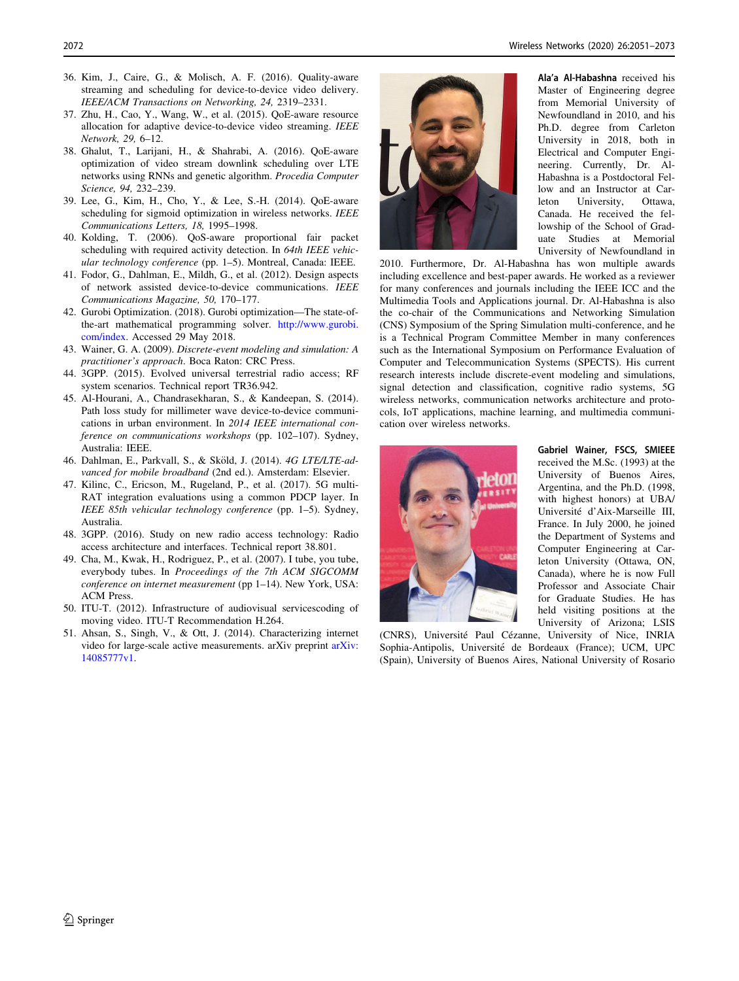- <span id="page-21-0"></span>36. Kim, J., Caire, G., & Molisch, A. F. (2016). Quality-aware streaming and scheduling for device-to-device video delivery. IEEE/ACM Transactions on Networking, 24, 2319–2331.
- 37. Zhu, H., Cao, Y., Wang, W., et al. (2015). QoE-aware resource allocation for adaptive device-to-device video streaming. IEEE Network, 29, 6–12.
- 38. Ghalut, T., Larijani, H., & Shahrabi, A. (2016). QoE-aware optimization of video stream downlink scheduling over LTE networks using RNNs and genetic algorithm. Procedia Computer Science, 94, 232–239.
- 39. Lee, G., Kim, H., Cho, Y., & Lee, S.-H. (2014). QoE-aware scheduling for sigmoid optimization in wireless networks. IEEE Communications Letters, 18, 1995–1998.
- 40. Kolding, T. (2006). QoS-aware proportional fair packet scheduling with required activity detection. In 64th IEEE vehicular technology conference (pp. 1–5). Montreal, Canada: IEEE.
- 41. Fodor, G., Dahlman, E., Mildh, G., et al. (2012). Design aspects of network assisted device-to-device communications. IEEE Communications Magazine, 50, 170–177.
- 42. Gurobi Optimization. (2018). Gurobi optimization—The state-ofthe-art mathematical programming solver. [http://www.gurobi.](http://www.gurobi.com/index) [com/index](http://www.gurobi.com/index). Accessed 29 May 2018.
- 43. Wainer, G. A. (2009). Discrete-event modeling and simulation: A practitioner's approach. Boca Raton: CRC Press.
- 44. 3GPP. (2015). Evolved universal terrestrial radio access; RF system scenarios. Technical report TR36.942.
- 45. Al-Hourani, A., Chandrasekharan, S., & Kandeepan, S. (2014). Path loss study for millimeter wave device-to-device communications in urban environment. In 2014 IEEE international conference on communications workshops (pp. 102–107). Sydney, Australia: IEEE.
- 46. Dahlman, E., Parkvall, S., & Sköld, J. (2014). 4G LTE/LTE-advanced for mobile broadband (2nd ed.). Amsterdam: Elsevier.
- 47. Kilinc, C., Ericson, M., Rugeland, P., et al. (2017). 5G multi-RAT integration evaluations using a common PDCP layer. In IEEE 85th vehicular technology conference (pp. 1–5). Sydney, Australia.
- 48. 3GPP. (2016). Study on new radio access technology: Radio access architecture and interfaces. Technical report 38.801.
- 49. Cha, M., Kwak, H., Rodriguez, P., et al. (2007). I tube, you tube, everybody tubes. In Proceedings of the 7th ACM SIGCOMM conference on internet measurement (pp 1-14). New York, USA: ACM Press.
- 50. ITU-T. (2012). Infrastructure of audiovisual servicescoding of moving video. ITU-T Recommendation H.264.
- 51. Ahsan, S., Singh, V., & Ott, J. (2014). Characterizing internet video for large-scale active measurements. arXiv preprint [arXiv:](http://arxiv.org/abs/14085777v1) [14085777v1.](http://arxiv.org/abs/14085777v1)



Ala'a Al-Habashna received his Master of Engineering degree from Memorial University of Newfoundland in 2010, and his Ph.D. degree from Carleton University in 2018, both in Electrical and Computer Engineering. Currently, Dr. Al-Habashna is a Postdoctoral Fellow and an Instructor at Carleton University, Ottawa, Canada. He received the fellowship of the School of Graduate Studies at Memorial University of Newfoundland in

2010. Furthermore, Dr. Al-Habashna has won multiple awards including excellence and best-paper awards. He worked as a reviewer for many conferences and journals including the IEEE ICC and the Multimedia Tools and Applications journal. Dr. Al-Habashna is also the co-chair of the Communications and Networking Simulation (CNS) Symposium of the Spring Simulation multi-conference, and he is a Technical Program Committee Member in many conferences such as the International Symposium on Performance Evaluation of Computer and Telecommunication Systems (SPECTS). His current research interests include discrete-event modeling and simulations, signal detection and classification, cognitive radio systems, 5G wireless networks, communication networks architecture and protocols, IoT applications, machine learning, and multimedia communication over wireless networks.



Gabriel Wainer, FSCS, SMIEEE received the M.Sc. (1993) at the University of Buenos Aires, Argentina, and the Ph.D. (1998, with highest honors) at UBA/ Universite´ d'Aix-Marseille III, France. In July 2000, he joined the Department of Systems and Computer Engineering at Carleton University (Ottawa, ON, Canada), where he is now Full Professor and Associate Chair for Graduate Studies. He has held visiting positions at the University of Arizona; LSIS

(CNRS), Université Paul Cézanne, University of Nice, INRIA Sophia-Antipolis, Université de Bordeaux (France); UCM, UPC (Spain), University of Buenos Aires, National University of Rosario